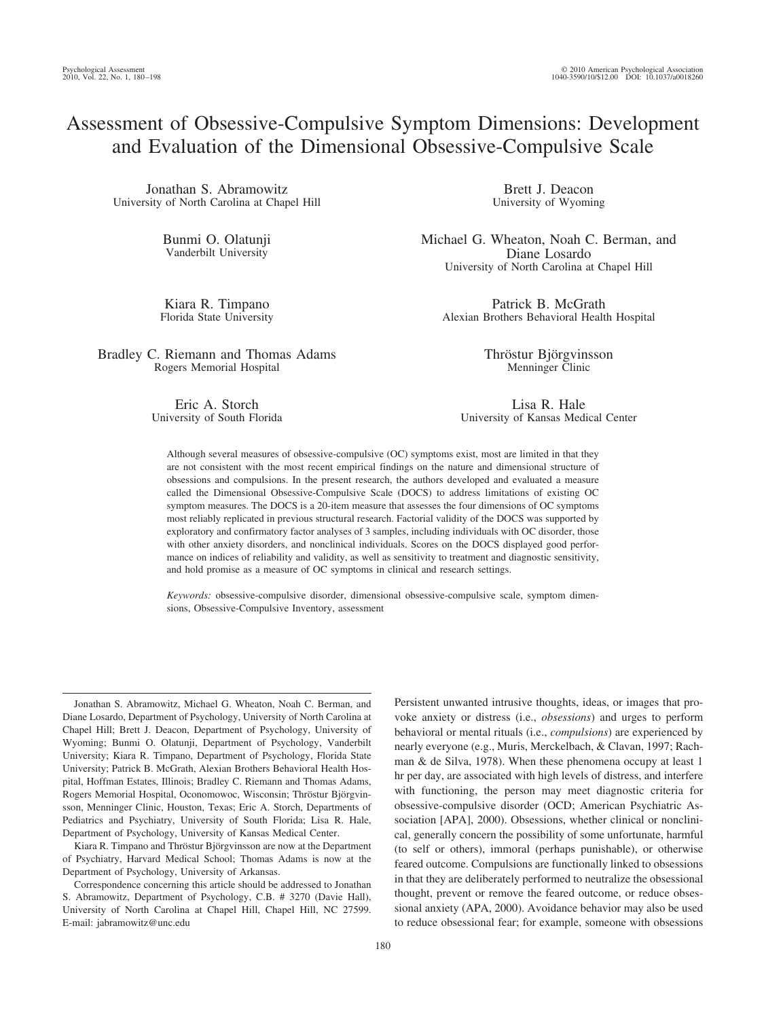# Assessment of Obsessive-Compulsive Symptom Dimensions: Development and Evaluation of the Dimensional Obsessive-Compulsive Scale

Jonathan S. Abramowitz University of North Carolina at Chapel Hill

> Bunmi O. Olatunji Vanderbilt University

Kiara R. Timpano Florida State University

Bradley C. Riemann and Thomas Adams Rogers Memorial Hospital

> Eric A. Storch University of South Florida

Brett J. Deacon University of Wyoming

Michael G. Wheaton, Noah C. Berman, and Diane Losardo University of North Carolina at Chapel Hill

Patrick B. McGrath Alexian Brothers Behavioral Health Hospital

> Thröstur Björgvinsson Menninger Clinic

Lisa R. Hale University of Kansas Medical Center

Although several measures of obsessive-compulsive (OC) symptoms exist, most are limited in that they are not consistent with the most recent empirical findings on the nature and dimensional structure of obsessions and compulsions. In the present research, the authors developed and evaluated a measure called the Dimensional Obsessive-Compulsive Scale (DOCS) to address limitations of existing OC symptom measures. The DOCS is a 20-item measure that assesses the four dimensions of OC symptoms most reliably replicated in previous structural research. Factorial validity of the DOCS was supported by exploratory and confirmatory factor analyses of 3 samples, including individuals with OC disorder, those with other anxiety disorders, and nonclinical individuals. Scores on the DOCS displayed good performance on indices of reliability and validity, as well as sensitivity to treatment and diagnostic sensitivity, and hold promise as a measure of OC symptoms in clinical and research settings.

*Keywords:* obsessive-compulsive disorder, dimensional obsessive-compulsive scale, symptom dimensions, Obsessive-Compulsive Inventory, assessment

Jonathan S. Abramowitz, Michael G. Wheaton, Noah C. Berman, and Diane Losardo, Department of Psychology, University of North Carolina at Chapel Hill; Brett J. Deacon, Department of Psychology, University of Wyoming; Bunmi O. Olatunji, Department of Psychology, Vanderbilt University; Kiara R. Timpano, Department of Psychology, Florida State University; Patrick B. McGrath, Alexian Brothers Behavioral Health Hospital, Hoffman Estates, Illinois; Bradley C. Riemann and Thomas Adams, Rogers Memorial Hospital, Oconomowoc, Wisconsin; Thröstur Björgvinsson, Menninger Clinic, Houston, Texas; Eric A. Storch, Departments of Pediatrics and Psychiatry, University of South Florida; Lisa R. Hale, Department of Psychology, University of Kansas Medical Center.

Kiara R. Timpano and Thröstur Björgvinsson are now at the Department of Psychiatry, Harvard Medical School; Thomas Adams is now at the Department of Psychology, University of Arkansas.

Correspondence concerning this article should be addressed to Jonathan S. Abramowitz, Department of Psychology, C.B. # 3270 (Davie Hall), University of North Carolina at Chapel Hill, Chapel Hill, NC 27599. E-mail: jabramowitz@unc.edu

Persistent unwanted intrusive thoughts, ideas, or images that provoke anxiety or distress (i.e., *obsessions*) and urges to perform behavioral or mental rituals (i.e., *compulsions*) are experienced by nearly everyone (e.g., Muris, Merckelbach, & Clavan, 1997; Rachman & de Silva, 1978). When these phenomena occupy at least 1 hr per day, are associated with high levels of distress, and interfere with functioning, the person may meet diagnostic criteria for obsessive-compulsive disorder (OCD; American Psychiatric Association [APA], 2000). Obsessions, whether clinical or nonclinical, generally concern the possibility of some unfortunate, harmful (to self or others), immoral (perhaps punishable), or otherwise feared outcome. Compulsions are functionally linked to obsessions in that they are deliberately performed to neutralize the obsessional thought, prevent or remove the feared outcome, or reduce obsessional anxiety (APA, 2000). Avoidance behavior may also be used to reduce obsessional fear; for example, someone with obsessions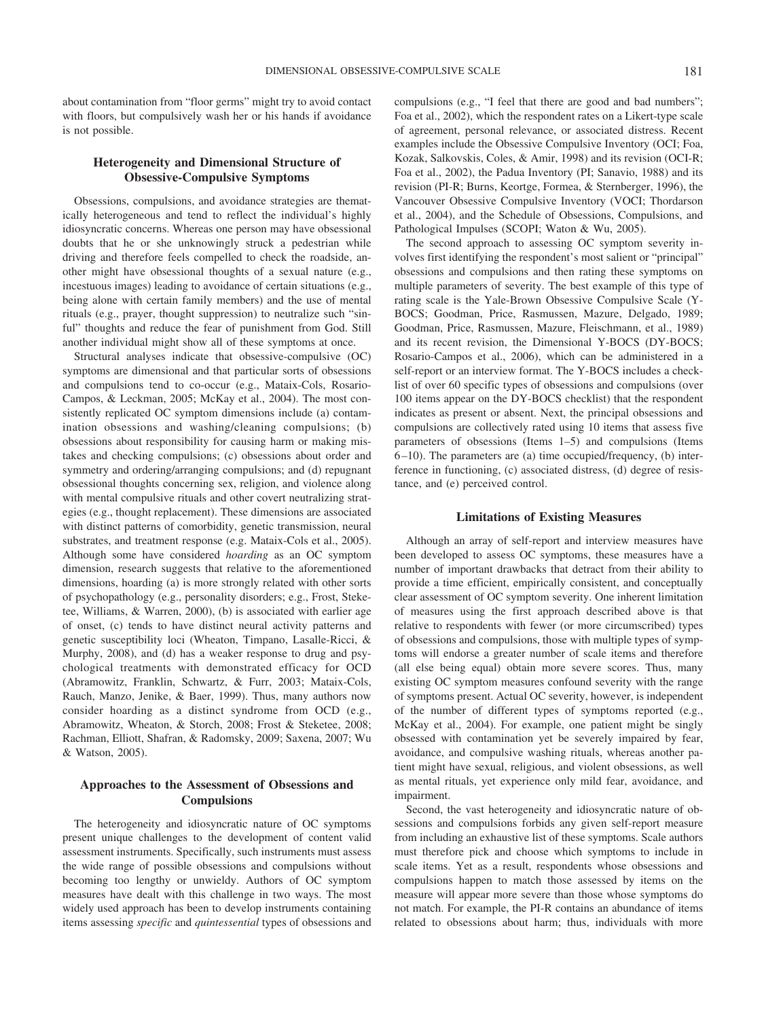about contamination from "floor germs" might try to avoid contact with floors, but compulsively wash her or his hands if avoidance is not possible.

# **Heterogeneity and Dimensional Structure of Obsessive-Compulsive Symptoms**

Obsessions, compulsions, and avoidance strategies are thematically heterogeneous and tend to reflect the individual's highly idiosyncratic concerns. Whereas one person may have obsessional doubts that he or she unknowingly struck a pedestrian while driving and therefore feels compelled to check the roadside, another might have obsessional thoughts of a sexual nature (e.g., incestuous images) leading to avoidance of certain situations (e.g., being alone with certain family members) and the use of mental rituals (e.g., prayer, thought suppression) to neutralize such "sinful" thoughts and reduce the fear of punishment from God. Still another individual might show all of these symptoms at once.

Structural analyses indicate that obsessive-compulsive (OC) symptoms are dimensional and that particular sorts of obsessions and compulsions tend to co-occur (e.g., Mataix-Cols, Rosario-Campos, & Leckman, 2005; McKay et al., 2004). The most consistently replicated OC symptom dimensions include (a) contamination obsessions and washing/cleaning compulsions; (b) obsessions about responsibility for causing harm or making mistakes and checking compulsions; (c) obsessions about order and symmetry and ordering/arranging compulsions; and (d) repugnant obsessional thoughts concerning sex, religion, and violence along with mental compulsive rituals and other covert neutralizing strategies (e.g., thought replacement). These dimensions are associated with distinct patterns of comorbidity, genetic transmission, neural substrates, and treatment response (e.g. Mataix-Cols et al., 2005). Although some have considered *hoarding* as an OC symptom dimension, research suggests that relative to the aforementioned dimensions, hoarding (a) is more strongly related with other sorts of psychopathology (e.g., personality disorders; e.g., Frost, Steketee, Williams, & Warren, 2000), (b) is associated with earlier age of onset, (c) tends to have distinct neural activity patterns and genetic susceptibility loci (Wheaton, Timpano, Lasalle-Ricci, & Murphy, 2008), and (d) has a weaker response to drug and psychological treatments with demonstrated efficacy for OCD (Abramowitz, Franklin, Schwartz, & Furr, 2003; Mataix-Cols, Rauch, Manzo, Jenike, & Baer, 1999). Thus, many authors now consider hoarding as a distinct syndrome from OCD (e.g., Abramowitz, Wheaton, & Storch, 2008; Frost & Steketee, 2008; Rachman, Elliott, Shafran, & Radomsky, 2009; Saxena, 2007; Wu & Watson, 2005).

# **Approaches to the Assessment of Obsessions and Compulsions**

The heterogeneity and idiosyncratic nature of OC symptoms present unique challenges to the development of content valid assessment instruments. Specifically, such instruments must assess the wide range of possible obsessions and compulsions without becoming too lengthy or unwieldy. Authors of OC symptom measures have dealt with this challenge in two ways. The most widely used approach has been to develop instruments containing items assessing *specific* and *quintessential* types of obsessions and compulsions (e.g., "I feel that there are good and bad numbers"; Foa et al., 2002), which the respondent rates on a Likert-type scale of agreement, personal relevance, or associated distress. Recent examples include the Obsessive Compulsive Inventory (OCI; Foa, Kozak, Salkovskis, Coles, & Amir, 1998) and its revision (OCI-R; Foa et al., 2002), the Padua Inventory (PI; Sanavio, 1988) and its revision (PI-R; Burns, Keortge, Formea, & Sternberger, 1996), the Vancouver Obsessive Compulsive Inventory (VOCI; Thordarson et al., 2004), and the Schedule of Obsessions, Compulsions, and Pathological Impulses (SCOPI; Waton & Wu, 2005).

The second approach to assessing OC symptom severity involves first identifying the respondent's most salient or "principal" obsessions and compulsions and then rating these symptoms on multiple parameters of severity. The best example of this type of rating scale is the Yale-Brown Obsessive Compulsive Scale (Y-BOCS; Goodman, Price, Rasmussen, Mazure, Delgado, 1989; Goodman, Price, Rasmussen, Mazure, Fleischmann, et al., 1989) and its recent revision, the Dimensional Y-BOCS (DY-BOCS; Rosario-Campos et al., 2006), which can be administered in a self-report or an interview format. The Y-BOCS includes a checklist of over 60 specific types of obsessions and compulsions (over 100 items appear on the DY-BOCS checklist) that the respondent indicates as present or absent. Next, the principal obsessions and compulsions are collectively rated using 10 items that assess five parameters of obsessions (Items 1–5) and compulsions (Items 6 –10). The parameters are (a) time occupied/frequency, (b) interference in functioning, (c) associated distress, (d) degree of resistance, and (e) perceived control.

# **Limitations of Existing Measures**

Although an array of self-report and interview measures have been developed to assess OC symptoms, these measures have a number of important drawbacks that detract from their ability to provide a time efficient, empirically consistent, and conceptually clear assessment of OC symptom severity. One inherent limitation of measures using the first approach described above is that relative to respondents with fewer (or more circumscribed) types of obsessions and compulsions, those with multiple types of symptoms will endorse a greater number of scale items and therefore (all else being equal) obtain more severe scores. Thus, many existing OC symptom measures confound severity with the range of symptoms present. Actual OC severity, however, is independent of the number of different types of symptoms reported (e.g., McKay et al., 2004). For example, one patient might be singly obsessed with contamination yet be severely impaired by fear, avoidance, and compulsive washing rituals, whereas another patient might have sexual, religious, and violent obsessions, as well as mental rituals, yet experience only mild fear, avoidance, and impairment.

Second, the vast heterogeneity and idiosyncratic nature of obsessions and compulsions forbids any given self-report measure from including an exhaustive list of these symptoms. Scale authors must therefore pick and choose which symptoms to include in scale items. Yet as a result, respondents whose obsessions and compulsions happen to match those assessed by items on the measure will appear more severe than those whose symptoms do not match. For example, the PI-R contains an abundance of items related to obsessions about harm; thus, individuals with more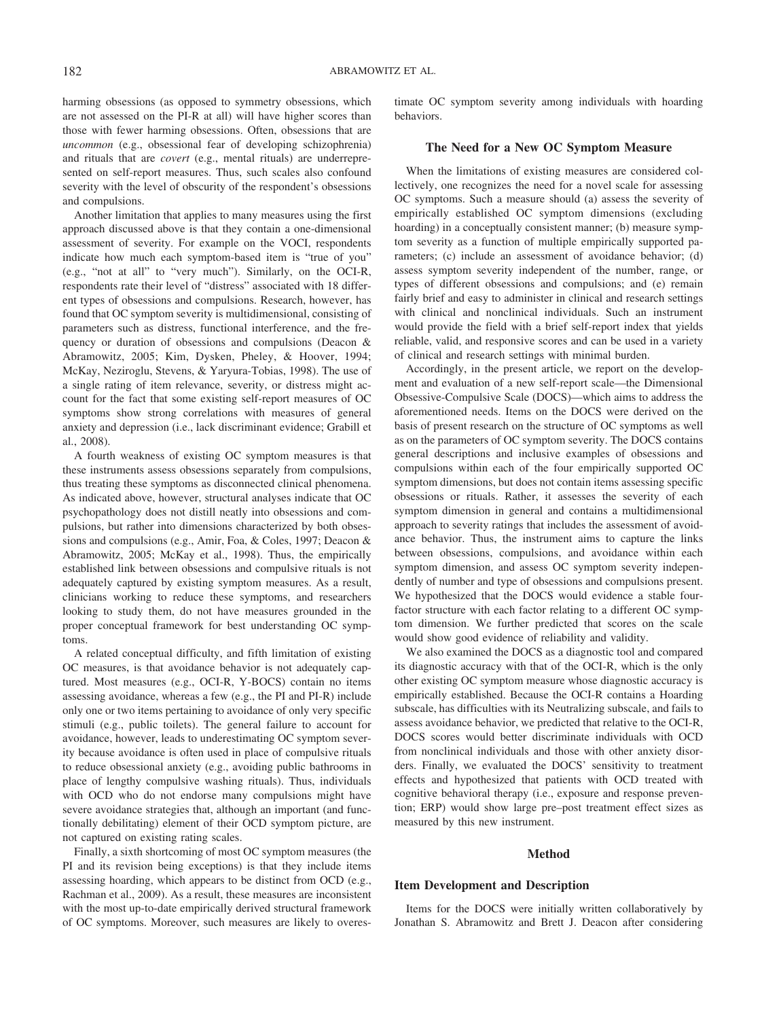harming obsessions (as opposed to symmetry obsessions, which are not assessed on the PI-R at all) will have higher scores than those with fewer harming obsessions. Often, obsessions that are *uncommon* (e.g., obsessional fear of developing schizophrenia) and rituals that are *covert* (e.g., mental rituals) are underrepresented on self-report measures. Thus, such scales also confound severity with the level of obscurity of the respondent's obsessions and compulsions.

Another limitation that applies to many measures using the first approach discussed above is that they contain a one-dimensional assessment of severity. For example on the VOCI, respondents indicate how much each symptom-based item is "true of you" (e.g., "not at all" to "very much"). Similarly, on the OCI-R, respondents rate their level of "distress" associated with 18 different types of obsessions and compulsions. Research, however, has found that OC symptom severity is multidimensional, consisting of parameters such as distress, functional interference, and the frequency or duration of obsessions and compulsions (Deacon & Abramowitz, 2005; Kim, Dysken, Pheley, & Hoover, 1994; McKay, Neziroglu, Stevens, & Yaryura-Tobias, 1998). The use of a single rating of item relevance, severity, or distress might account for the fact that some existing self-report measures of OC symptoms show strong correlations with measures of general anxiety and depression (i.e., lack discriminant evidence; Grabill et al., 2008).

A fourth weakness of existing OC symptom measures is that these instruments assess obsessions separately from compulsions, thus treating these symptoms as disconnected clinical phenomena. As indicated above, however, structural analyses indicate that OC psychopathology does not distill neatly into obsessions and compulsions, but rather into dimensions characterized by both obsessions and compulsions (e.g., Amir, Foa, & Coles, 1997; Deacon & Abramowitz, 2005; McKay et al., 1998). Thus, the empirically established link between obsessions and compulsive rituals is not adequately captured by existing symptom measures. As a result, clinicians working to reduce these symptoms, and researchers looking to study them, do not have measures grounded in the proper conceptual framework for best understanding OC symptoms.

A related conceptual difficulty, and fifth limitation of existing OC measures, is that avoidance behavior is not adequately captured. Most measures (e.g., OCI-R, Y-BOCS) contain no items assessing avoidance, whereas a few (e.g., the PI and PI-R) include only one or two items pertaining to avoidance of only very specific stimuli (e.g., public toilets). The general failure to account for avoidance, however, leads to underestimating OC symptom severity because avoidance is often used in place of compulsive rituals to reduce obsessional anxiety (e.g., avoiding public bathrooms in place of lengthy compulsive washing rituals). Thus, individuals with OCD who do not endorse many compulsions might have severe avoidance strategies that, although an important (and functionally debilitating) element of their OCD symptom picture, are not captured on existing rating scales.

Finally, a sixth shortcoming of most OC symptom measures (the PI and its revision being exceptions) is that they include items assessing hoarding, which appears to be distinct from OCD (e.g., Rachman et al., 2009). As a result, these measures are inconsistent with the most up-to-date empirically derived structural framework of OC symptoms. Moreover, such measures are likely to overestimate OC symptom severity among individuals with hoarding behaviors.

# **The Need for a New OC Symptom Measure**

When the limitations of existing measures are considered collectively, one recognizes the need for a novel scale for assessing OC symptoms. Such a measure should (a) assess the severity of empirically established OC symptom dimensions (excluding hoarding) in a conceptually consistent manner; (b) measure symptom severity as a function of multiple empirically supported parameters; (c) include an assessment of avoidance behavior; (d) assess symptom severity independent of the number, range, or types of different obsessions and compulsions; and (e) remain fairly brief and easy to administer in clinical and research settings with clinical and nonclinical individuals. Such an instrument would provide the field with a brief self-report index that yields reliable, valid, and responsive scores and can be used in a variety of clinical and research settings with minimal burden.

Accordingly, in the present article, we report on the development and evaluation of a new self-report scale—the Dimensional Obsessive-Compulsive Scale (DOCS)—which aims to address the aforementioned needs. Items on the DOCS were derived on the basis of present research on the structure of OC symptoms as well as on the parameters of OC symptom severity. The DOCS contains general descriptions and inclusive examples of obsessions and compulsions within each of the four empirically supported OC symptom dimensions, but does not contain items assessing specific obsessions or rituals. Rather, it assesses the severity of each symptom dimension in general and contains a multidimensional approach to severity ratings that includes the assessment of avoidance behavior. Thus, the instrument aims to capture the links between obsessions, compulsions, and avoidance within each symptom dimension, and assess OC symptom severity independently of number and type of obsessions and compulsions present. We hypothesized that the DOCS would evidence a stable fourfactor structure with each factor relating to a different OC symptom dimension. We further predicted that scores on the scale would show good evidence of reliability and validity.

We also examined the DOCS as a diagnostic tool and compared its diagnostic accuracy with that of the OCI-R, which is the only other existing OC symptom measure whose diagnostic accuracy is empirically established. Because the OCI-R contains a Hoarding subscale, has difficulties with its Neutralizing subscale, and fails to assess avoidance behavior, we predicted that relative to the OCI-R, DOCS scores would better discriminate individuals with OCD from nonclinical individuals and those with other anxiety disorders. Finally, we evaluated the DOCS' sensitivity to treatment effects and hypothesized that patients with OCD treated with cognitive behavioral therapy (i.e., exposure and response prevention; ERP) would show large pre–post treatment effect sizes as measured by this new instrument.

# **Method**

# **Item Development and Description**

Items for the DOCS were initially written collaboratively by Jonathan S. Abramowitz and Brett J. Deacon after considering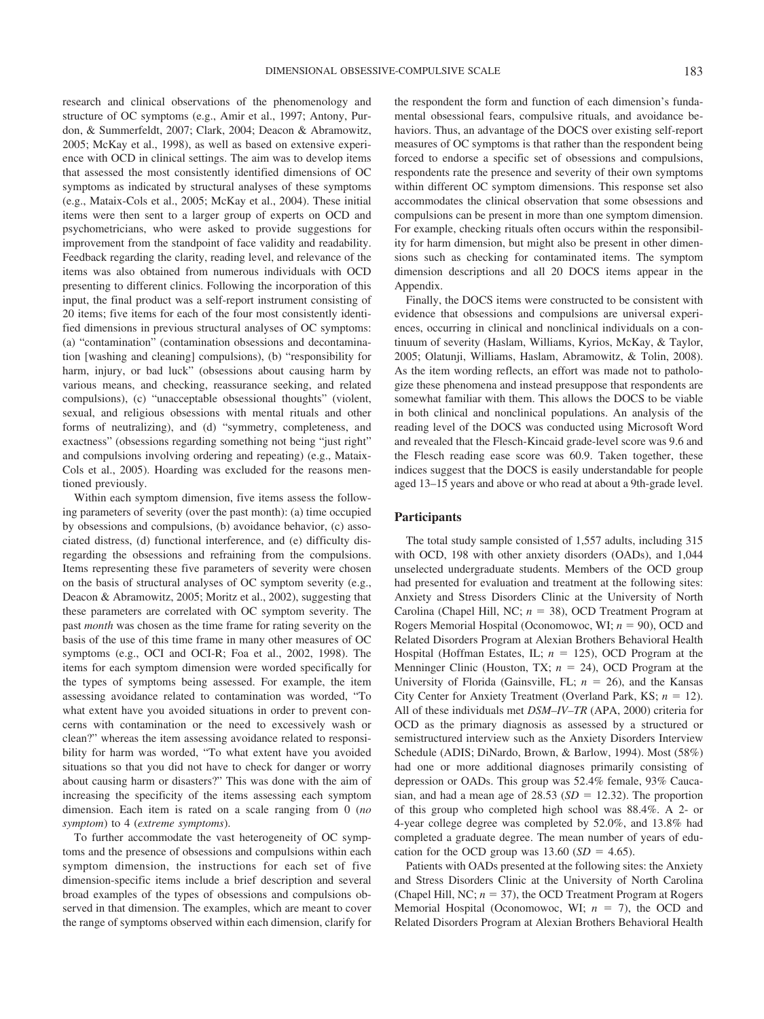research and clinical observations of the phenomenology and structure of OC symptoms (e.g., Amir et al., 1997; Antony, Purdon, & Summerfeldt, 2007; Clark, 2004; Deacon & Abramowitz, 2005; McKay et al., 1998), as well as based on extensive experience with OCD in clinical settings. The aim was to develop items that assessed the most consistently identified dimensions of OC symptoms as indicated by structural analyses of these symptoms (e.g., Mataix-Cols et al., 2005; McKay et al., 2004). These initial items were then sent to a larger group of experts on OCD and psychometricians, who were asked to provide suggestions for improvement from the standpoint of face validity and readability. Feedback regarding the clarity, reading level, and relevance of the items was also obtained from numerous individuals with OCD presenting to different clinics. Following the incorporation of this input, the final product was a self-report instrument consisting of 20 items; five items for each of the four most consistently identified dimensions in previous structural analyses of OC symptoms: (a) "contamination" (contamination obsessions and decontamination [washing and cleaning] compulsions), (b) "responsibility for harm, injury, or bad luck" (obsessions about causing harm by various means, and checking, reassurance seeking, and related compulsions), (c) "unacceptable obsessional thoughts" (violent, sexual, and religious obsessions with mental rituals and other forms of neutralizing), and (d) "symmetry, completeness, and exactness" (obsessions regarding something not being "just right" and compulsions involving ordering and repeating) (e.g., Mataix-Cols et al., 2005). Hoarding was excluded for the reasons mentioned previously.

Within each symptom dimension, five items assess the following parameters of severity (over the past month): (a) time occupied by obsessions and compulsions, (b) avoidance behavior, (c) associated distress, (d) functional interference, and (e) difficulty disregarding the obsessions and refraining from the compulsions. Items representing these five parameters of severity were chosen on the basis of structural analyses of OC symptom severity (e.g., Deacon & Abramowitz, 2005; Moritz et al., 2002), suggesting that these parameters are correlated with OC symptom severity. The past *month* was chosen as the time frame for rating severity on the basis of the use of this time frame in many other measures of OC symptoms (e.g., OCI and OCI-R; Foa et al., 2002, 1998). The items for each symptom dimension were worded specifically for the types of symptoms being assessed. For example, the item assessing avoidance related to contamination was worded, "To what extent have you avoided situations in order to prevent concerns with contamination or the need to excessively wash or clean?" whereas the item assessing avoidance related to responsibility for harm was worded, "To what extent have you avoided situations so that you did not have to check for danger or worry about causing harm or disasters?" This was done with the aim of increasing the specificity of the items assessing each symptom dimension. Each item is rated on a scale ranging from 0 (*no symptom*) to 4 (*extreme symptoms*).

To further accommodate the vast heterogeneity of OC symptoms and the presence of obsessions and compulsions within each symptom dimension, the instructions for each set of five dimension-specific items include a brief description and several broad examples of the types of obsessions and compulsions observed in that dimension. The examples, which are meant to cover the range of symptoms observed within each dimension, clarify for

the respondent the form and function of each dimension's fundamental obsessional fears, compulsive rituals, and avoidance behaviors. Thus, an advantage of the DOCS over existing self-report measures of OC symptoms is that rather than the respondent being forced to endorse a specific set of obsessions and compulsions, respondents rate the presence and severity of their own symptoms within different OC symptom dimensions. This response set also accommodates the clinical observation that some obsessions and compulsions can be present in more than one symptom dimension. For example, checking rituals often occurs within the responsibility for harm dimension, but might also be present in other dimensions such as checking for contaminated items. The symptom dimension descriptions and all 20 DOCS items appear in the Appendix.

Finally, the DOCS items were constructed to be consistent with evidence that obsessions and compulsions are universal experiences, occurring in clinical and nonclinical individuals on a continuum of severity (Haslam, Williams, Kyrios, McKay, & Taylor, 2005; Olatunji, Williams, Haslam, Abramowitz, & Tolin, 2008). As the item wording reflects, an effort was made not to pathologize these phenomena and instead presuppose that respondents are somewhat familiar with them. This allows the DOCS to be viable in both clinical and nonclinical populations. An analysis of the reading level of the DOCS was conducted using Microsoft Word and revealed that the Flesch-Kincaid grade-level score was 9.6 and the Flesch reading ease score was 60.9. Taken together, these indices suggest that the DOCS is easily understandable for people aged 13–15 years and above or who read at about a 9th-grade level.

# **Participants**

The total study sample consisted of 1,557 adults, including 315 with OCD, 198 with other anxiety disorders (OADs), and 1,044 unselected undergraduate students. Members of the OCD group had presented for evaluation and treatment at the following sites: Anxiety and Stress Disorders Clinic at the University of North Carolina (Chapel Hill, NC;  $n = 38$ ), OCD Treatment Program at Rogers Memorial Hospital (Oconomowoc, WI;  $n = 90$ ), OCD and Related Disorders Program at Alexian Brothers Behavioral Health Hospital (Hoffman Estates, IL;  $n = 125$ ), OCD Program at the Menninger Clinic (Houston, TX;  $n = 24$ ), OCD Program at the University of Florida (Gainsville, FL;  $n = 26$ ), and the Kansas City Center for Anxiety Treatment (Overland Park, KS;  $n = 12$ ). All of these individuals met *DSM–IV–TR* (APA, 2000) criteria for OCD as the primary diagnosis as assessed by a structured or semistructured interview such as the Anxiety Disorders Interview Schedule (ADIS; DiNardo, Brown, & Barlow, 1994). Most (58%) had one or more additional diagnoses primarily consisting of depression or OADs. This group was 52.4% female, 93% Caucasian, and had a mean age of  $28.53$  ( $SD = 12.32$ ). The proportion of this group who completed high school was 88.4%. A 2- or 4-year college degree was completed by 52.0%, and 13.8% had completed a graduate degree. The mean number of years of education for the OCD group was  $13.60$  (*SD* = 4.65).

Patients with OADs presented at the following sites: the Anxiety and Stress Disorders Clinic at the University of North Carolina (Chapel Hill, NC;  $n = 37$ ), the OCD Treatment Program at Rogers Memorial Hospital (Oconomowoc, WI;  $n = 7$ ), the OCD and Related Disorders Program at Alexian Brothers Behavioral Health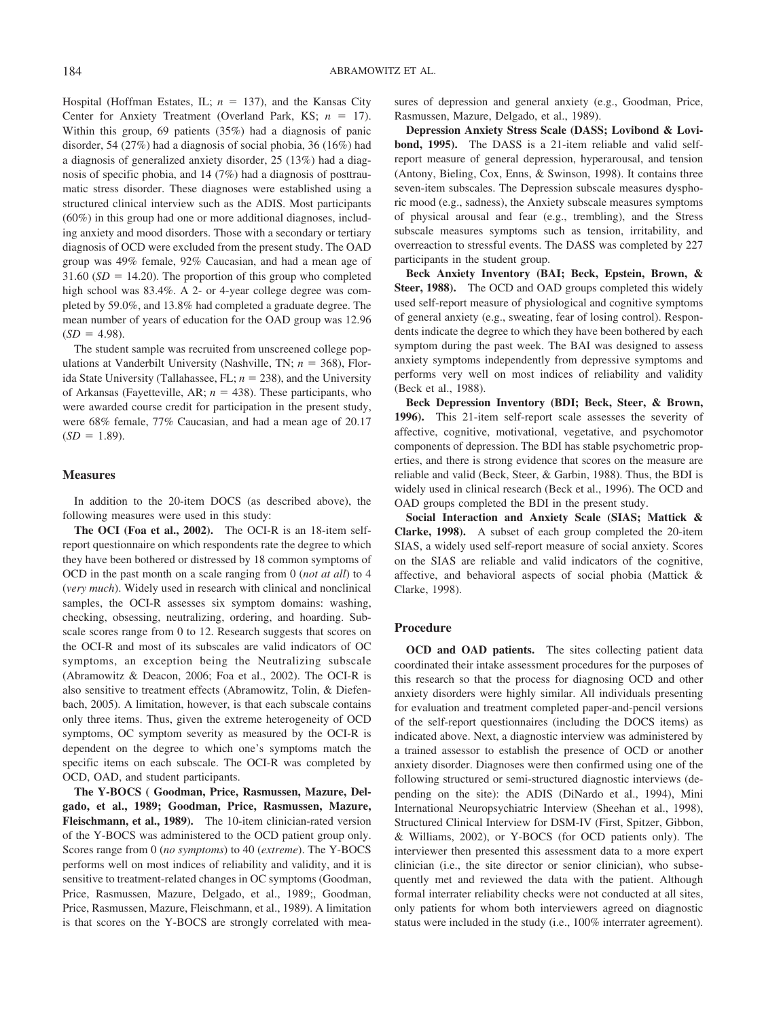Hospital (Hoffman Estates, IL;  $n = 137$ ), and the Kansas City Center for Anxiety Treatment (Overland Park, KS;  $n = 17$ ). Within this group, 69 patients (35%) had a diagnosis of panic disorder, 54 (27%) had a diagnosis of social phobia, 36 (16%) had a diagnosis of generalized anxiety disorder, 25 (13%) had a diagnosis of specific phobia, and 14 (7%) had a diagnosis of posttraumatic stress disorder. These diagnoses were established using a structured clinical interview such as the ADIS. Most participants (60%) in this group had one or more additional diagnoses, including anxiety and mood disorders. Those with a secondary or tertiary diagnosis of OCD were excluded from the present study. The OAD group was 49% female, 92% Caucasian, and had a mean age of  $31.60$  ( $SD = 14.20$ ). The proportion of this group who completed high school was 83.4%. A 2- or 4-year college degree was completed by 59.0%, and 13.8% had completed a graduate degree. The mean number of years of education for the OAD group was 12.96  $(SD = 4.98)$ .

The student sample was recruited from unscreened college populations at Vanderbilt University (Nashville, TN;  $n = 368$ ), Florida State University (Tallahassee, FL;  $n = 238$ ), and the University of Arkansas (Fayetteville, AR;  $n = 438$ ). These participants, who were awarded course credit for participation in the present study, were 68% female, 77% Caucasian, and had a mean age of 20.17  $(SD = 1.89)$ .

### **Measures**

In addition to the 20-item DOCS (as described above), the following measures were used in this study:

**The OCI (Foa et al., 2002).** The OCI-R is an 18-item selfreport questionnaire on which respondents rate the degree to which they have been bothered or distressed by 18 common symptoms of OCD in the past month on a scale ranging from 0 (*not at all*) to 4 (*very much*). Widely used in research with clinical and nonclinical samples, the OCI-R assesses six symptom domains: washing, checking, obsessing, neutralizing, ordering, and hoarding. Subscale scores range from 0 to 12. Research suggests that scores on the OCI-R and most of its subscales are valid indicators of OC symptoms, an exception being the Neutralizing subscale (Abramowitz & Deacon, 2006; Foa et al., 2002). The OCI-R is also sensitive to treatment effects (Abramowitz, Tolin, & Diefenbach, 2005). A limitation, however, is that each subscale contains only three items. Thus, given the extreme heterogeneity of OCD symptoms, OC symptom severity as measured by the OCI-R is dependent on the degree to which one's symptoms match the specific items on each subscale. The OCI-R was completed by OCD, OAD, and student participants.

**The Y-BOCS ( Goodman, Price, Rasmussen, Mazure, Delgado, et al., 1989; Goodman, Price, Rasmussen, Mazure, Fleischmann, et al., 1989).** The 10-item clinician-rated version of the Y-BOCS was administered to the OCD patient group only. Scores range from 0 (*no symptoms*) to 40 (*extreme*). The Y-BOCS performs well on most indices of reliability and validity, and it is sensitive to treatment-related changes in OC symptoms (Goodman, Price, Rasmussen, Mazure, Delgado, et al., 1989;, Goodman, Price, Rasmussen, Mazure, Fleischmann, et al., 1989). A limitation is that scores on the Y-BOCS are strongly correlated with measures of depression and general anxiety (e.g., Goodman, Price, Rasmussen, Mazure, Delgado, et al., 1989).

**Depression Anxiety Stress Scale (DASS; Lovibond & Lovibond, 1995).** The DASS is a 21-item reliable and valid selfreport measure of general depression, hyperarousal, and tension (Antony, Bieling, Cox, Enns, & Swinson, 1998). It contains three seven-item subscales. The Depression subscale measures dysphoric mood (e.g., sadness), the Anxiety subscale measures symptoms of physical arousal and fear (e.g., trembling), and the Stress subscale measures symptoms such as tension, irritability, and overreaction to stressful events. The DASS was completed by 227 participants in the student group.

**Beck Anxiety Inventory (BAI; Beck, Epstein, Brown, & Steer, 1988).** The OCD and OAD groups completed this widely used self-report measure of physiological and cognitive symptoms of general anxiety (e.g., sweating, fear of losing control). Respondents indicate the degree to which they have been bothered by each symptom during the past week. The BAI was designed to assess anxiety symptoms independently from depressive symptoms and performs very well on most indices of reliability and validity (Beck et al., 1988).

**Beck Depression Inventory (BDI; Beck, Steer, & Brown, 1996).** This 21-item self-report scale assesses the severity of affective, cognitive, motivational, vegetative, and psychomotor components of depression. The BDI has stable psychometric properties, and there is strong evidence that scores on the measure are reliable and valid (Beck, Steer, & Garbin, 1988). Thus, the BDI is widely used in clinical research (Beck et al., 1996). The OCD and OAD groups completed the BDI in the present study.

**Social Interaction and Anxiety Scale (SIAS; Mattick & Clarke, 1998).** A subset of each group completed the 20-item SIAS, a widely used self-report measure of social anxiety. Scores on the SIAS are reliable and valid indicators of the cognitive, affective, and behavioral aspects of social phobia (Mattick & Clarke, 1998).

# **Procedure**

**OCD and OAD patients.** The sites collecting patient data coordinated their intake assessment procedures for the purposes of this research so that the process for diagnosing OCD and other anxiety disorders were highly similar. All individuals presenting for evaluation and treatment completed paper-and-pencil versions of the self-report questionnaires (including the DOCS items) as indicated above. Next, a diagnostic interview was administered by a trained assessor to establish the presence of OCD or another anxiety disorder. Diagnoses were then confirmed using one of the following structured or semi-structured diagnostic interviews (depending on the site): the ADIS (DiNardo et al., 1994), Mini International Neuropsychiatric Interview (Sheehan et al., 1998), Structured Clinical Interview for DSM-IV (First, Spitzer, Gibbon, & Williams, 2002), or Y-BOCS (for OCD patients only). The interviewer then presented this assessment data to a more expert clinician (i.e., the site director or senior clinician), who subsequently met and reviewed the data with the patient. Although formal interrater reliability checks were not conducted at all sites, only patients for whom both interviewers agreed on diagnostic status were included in the study (i.e., 100% interrater agreement).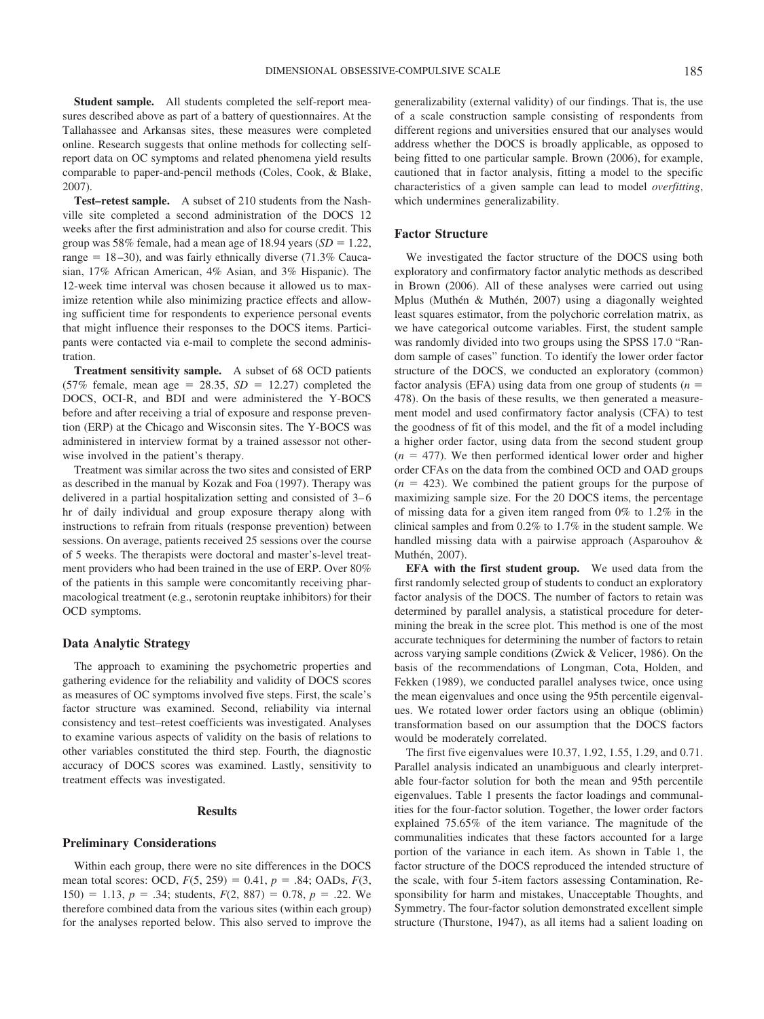**Student sample.** All students completed the self-report measures described above as part of a battery of questionnaires. At the Tallahassee and Arkansas sites, these measures were completed online. Research suggests that online methods for collecting selfreport data on OC symptoms and related phenomena yield results comparable to paper-and-pencil methods (Coles, Cook, & Blake, 2007).

**Test–retest sample.** A subset of 210 students from the Nashville site completed a second administration of the DOCS 12 weeks after the first administration and also for course credit. This group was 58% female, had a mean age of 18.94 years  $(SD = 1.22)$ , range  $= 18 - 30$ ), and was fairly ethnically diverse (71.3% Caucasian, 17% African American, 4% Asian, and 3% Hispanic). The 12-week time interval was chosen because it allowed us to maximize retention while also minimizing practice effects and allowing sufficient time for respondents to experience personal events that might influence their responses to the DOCS items. Participants were contacted via e-mail to complete the second administration.

**Treatment sensitivity sample.** A subset of 68 OCD patients (57% female, mean age = 28.35,  $SD = 12.27$ ) completed the DOCS, OCI-R, and BDI and were administered the Y-BOCS before and after receiving a trial of exposure and response prevention (ERP) at the Chicago and Wisconsin sites. The Y-BOCS was administered in interview format by a trained assessor not otherwise involved in the patient's therapy.

Treatment was similar across the two sites and consisted of ERP as described in the manual by Kozak and Foa (1997). Therapy was delivered in a partial hospitalization setting and consisted of 3–6 hr of daily individual and group exposure therapy along with instructions to refrain from rituals (response prevention) between sessions. On average, patients received 25 sessions over the course of 5 weeks. The therapists were doctoral and master's-level treatment providers who had been trained in the use of ERP. Over 80% of the patients in this sample were concomitantly receiving pharmacological treatment (e.g., serotonin reuptake inhibitors) for their OCD symptoms.

# **Data Analytic Strategy**

The approach to examining the psychometric properties and gathering evidence for the reliability and validity of DOCS scores as measures of OC symptoms involved five steps. First, the scale's factor structure was examined. Second, reliability via internal consistency and test–retest coefficients was investigated. Analyses to examine various aspects of validity on the basis of relations to other variables constituted the third step. Fourth, the diagnostic accuracy of DOCS scores was examined. Lastly, sensitivity to treatment effects was investigated.

#### **Results**

# **Preliminary Considerations**

Within each group, there were no site differences in the DOCS mean total scores: OCD,  $F(5, 259) = 0.41$ ,  $p = .84$ ; OADs,  $F(3, 4)$ 150) = 1.13,  $p = .34$ ; students,  $F(2, 887) = 0.78$ ,  $p = .22$ . We therefore combined data from the various sites (within each group) for the analyses reported below. This also served to improve the generalizability (external validity) of our findings. That is, the use of a scale construction sample consisting of respondents from different regions and universities ensured that our analyses would address whether the DOCS is broadly applicable, as opposed to being fitted to one particular sample. Brown (2006), for example, cautioned that in factor analysis, fitting a model to the specific characteristics of a given sample can lead to model *overfitting*, which undermines generalizability.

# **Factor Structure**

We investigated the factor structure of the DOCS using both exploratory and confirmatory factor analytic methods as described in Brown (2006). All of these analyses were carried out using Mplus (Muthén & Muthén, 2007) using a diagonally weighted least squares estimator, from the polychoric correlation matrix, as we have categorical outcome variables. First, the student sample was randomly divided into two groups using the SPSS 17.0 "Random sample of cases" function. To identify the lower order factor structure of the DOCS, we conducted an exploratory (common) factor analysis (EFA) using data from one group of students (*n* 478). On the basis of these results, we then generated a measurement model and used confirmatory factor analysis (CFA) to test the goodness of fit of this model, and the fit of a model including a higher order factor, using data from the second student group  $(n = 477)$ . We then performed identical lower order and higher order CFAs on the data from the combined OCD and OAD groups  $(n = 423)$ . We combined the patient groups for the purpose of maximizing sample size. For the 20 DOCS items, the percentage of missing data for a given item ranged from 0% to 1.2% in the clinical samples and from 0.2% to 1.7% in the student sample. We handled missing data with a pairwise approach (Asparouhov & Muthén, 2007).

**EFA with the first student group.** We used data from the first randomly selected group of students to conduct an exploratory factor analysis of the DOCS. The number of factors to retain was determined by parallel analysis, a statistical procedure for determining the break in the scree plot. This method is one of the most accurate techniques for determining the number of factors to retain across varying sample conditions (Zwick & Velicer, 1986). On the basis of the recommendations of Longman, Cota, Holden, and Fekken (1989), we conducted parallel analyses twice, once using the mean eigenvalues and once using the 95th percentile eigenvalues. We rotated lower order factors using an oblique (oblimin) transformation based on our assumption that the DOCS factors would be moderately correlated.

The first five eigenvalues were 10.37, 1.92, 1.55, 1.29, and 0.71. Parallel analysis indicated an unambiguous and clearly interpretable four-factor solution for both the mean and 95th percentile eigenvalues. Table 1 presents the factor loadings and communalities for the four-factor solution. Together, the lower order factors explained 75.65% of the item variance. The magnitude of the communalities indicates that these factors accounted for a large portion of the variance in each item. As shown in Table 1, the factor structure of the DOCS reproduced the intended structure of the scale, with four 5-item factors assessing Contamination, Responsibility for harm and mistakes, Unacceptable Thoughts, and Symmetry. The four-factor solution demonstrated excellent simple structure (Thurstone, 1947), as all items had a salient loading on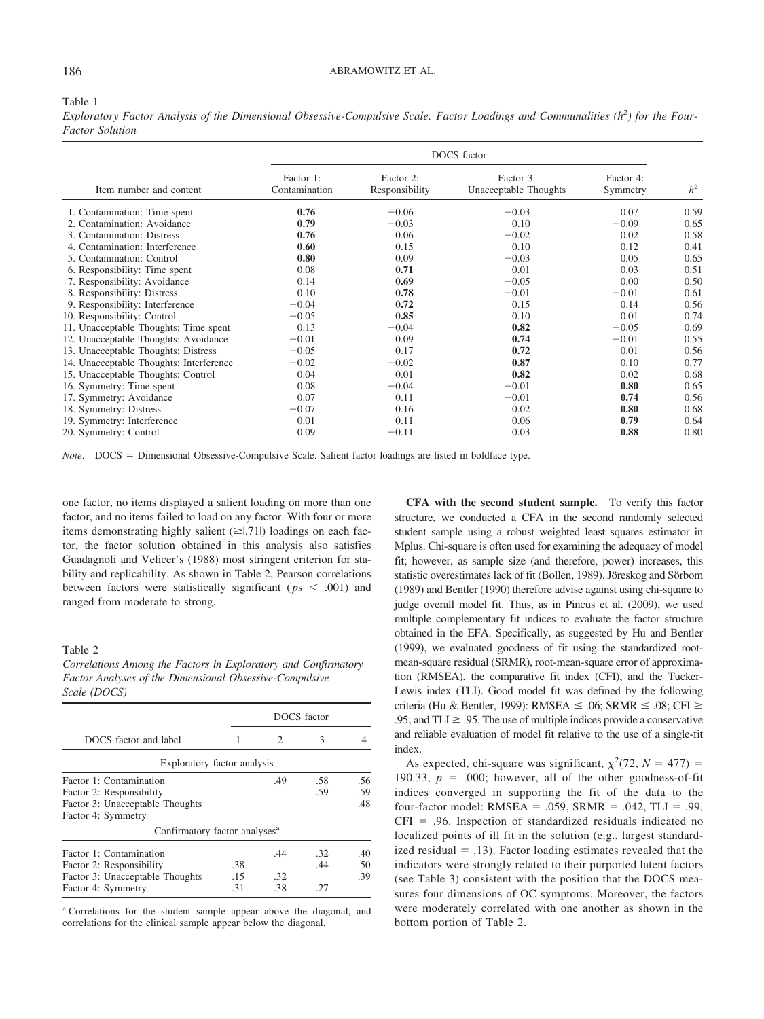#### 186 ABRAMOWITZ ET AL.

#### Table 1

Exploratory Factor Analysis of the Dimensional Obsessive-Compulsive Scale: Factor Loadings and Communalities (h<sup>2</sup>) for the Four-*Factor Solution*

|                                         |                            |                             | DOCS factor                        |                       |                |  |  |  |
|-----------------------------------------|----------------------------|-----------------------------|------------------------------------|-----------------------|----------------|--|--|--|
| Item number and content                 | Factor 1:<br>Contamination | Factor 2:<br>Responsibility | Factor 3:<br>Unacceptable Thoughts | Factor 4:<br>Symmetry | h <sup>2</sup> |  |  |  |
| 1. Contamination: Time spent            | 0.76                       | $-0.06$                     | $-0.03$                            | 0.07                  | 0.59           |  |  |  |
| 2. Contamination: Avoidance             | 0.79                       | $-0.03$                     | 0.10                               | $-0.09$               | 0.65           |  |  |  |
| 3. Contamination: Distress              | 0.76                       | 0.06                        | $-0.02$                            | 0.02                  | 0.58           |  |  |  |
| 4. Contamination: Interference          | 0.60                       | 0.15                        | 0.10                               | 0.12                  | 0.41           |  |  |  |
| 5. Contamination: Control               | 0.80                       | 0.09                        | $-0.03$                            | 0.05                  | 0.65           |  |  |  |
| 6. Responsibility: Time spent           | 0.08                       | 0.71                        | 0.01                               | 0.03                  | 0.51           |  |  |  |
| 7. Responsibility: Avoidance            | 0.14                       | 0.69                        | $-0.05$                            | 0.00                  | 0.50           |  |  |  |
| 8. Responsibility: Distress             | 0.10                       | 0.78                        | $-0.01$                            | $-0.01$               | 0.61           |  |  |  |
| 9. Responsibility: Interference         | $-0.04$                    | 0.72                        | 0.15                               | 0.14                  | 0.56           |  |  |  |
| 10. Responsibility: Control             | $-0.05$                    | 0.85                        | 0.10                               | 0.01                  | 0.74           |  |  |  |
| 11. Unacceptable Thoughts: Time spent   | 0.13                       | $-0.04$                     | 0.82                               | $-0.05$               | 0.69           |  |  |  |
| 12. Unacceptable Thoughts: Avoidance    | $-0.01$                    | 0.09                        | 0.74                               | $-0.01$               | 0.55           |  |  |  |
| 13. Unacceptable Thoughts: Distress     | $-0.05$                    | 0.17                        | 0.72                               | 0.01                  | 0.56           |  |  |  |
| 14. Unacceptable Thoughts: Interference | $-0.02$                    | $-0.02$                     | 0.87                               | 0.10                  | 0.77           |  |  |  |
| 15. Unacceptable Thoughts: Control      | 0.04                       | 0.01                        | 0.82                               | 0.02                  | 0.68           |  |  |  |
| 16. Symmetry: Time spent                | 0.08                       | $-0.04$                     | $-0.01$                            | 0.80                  | 0.65           |  |  |  |
| 17. Symmetry: Avoidance                 | 0.07                       | 0.11                        | $-0.01$                            | 0.74                  | 0.56           |  |  |  |
| 18. Symmetry: Distress                  | $-0.07$                    | 0.16                        | 0.02                               | 0.80                  | 0.68           |  |  |  |
| 19. Symmetry: Interference              | 0.01                       | 0.11                        | 0.06                               | 0.79                  | 0.64           |  |  |  |
| 20. Symmetry: Control                   | 0.09                       | $-0.11$                     | 0.03                               | 0.88                  | 0.80           |  |  |  |

*Note.* DOCS = Dimensional Obsessive-Compulsive Scale. Salient factor loadings are listed in boldface type.

one factor, no items displayed a salient loading on more than one factor, and no items failed to load on any factor. With four or more items demonstrating highly salient  $(\geq$  1.71|) loadings on each factor, the factor solution obtained in this analysis also satisfies Guadagnoli and Velicer's (1988) most stringent criterion for stability and replicability. As shown in Table 2, Pearson correlations between factors were statistically significant ( $p_s < .001$ ) and ranged from moderate to strong.

# Table 2

*Correlations Among the Factors in Exploratory and Confirmatory Factor Analyses of the Dimensional Obsessive-Compulsive Scale (DOCS)*

|                                                       | DOCS factor |                               |            |            |
|-------------------------------------------------------|-------------|-------------------------------|------------|------------|
| DOCS factor and label                                 | 1           | $\mathfrak{D}_{\mathfrak{p}}$ | 3          |            |
| Exploratory factor analysis                           |             |                               |            |            |
| Factor 1: Contamination<br>Factor 2: Responsibility   |             | .49                           | .58<br>.59 | .56<br>.59 |
| Factor 3: Unacceptable Thoughts<br>Factor 4: Symmetry |             |                               |            | .48        |
| Confirmatory factor analyses <sup>a</sup>             |             |                               |            |            |
| Factor 1: Contamination                               |             | -44                           | .32        | .40        |
| Factor 2: Responsibility                              | .38         |                               | .44        | .50        |
| Factor 3: Unacceptable Thoughts                       | .15         | .32                           |            | .39        |
| Factor 4: Symmetry                                    | .31         | .38                           | -27        |            |

<sup>a</sup> Correlations for the student sample appear above the diagonal, and correlations for the clinical sample appear below the diagonal.

**CFA with the second student sample.** To verify this factor structure, we conducted a CFA in the second randomly selected student sample using a robust weighted least squares estimator in Mplus. Chi-square is often used for examining the adequacy of model fit; however, as sample size (and therefore, power) increases, this statistic overestimates lack of fit (Bollen, 1989). Jöreskog and Sörbom (1989) and Bentler (1990) therefore advise against using chi-square to judge overall model fit. Thus, as in Pincus et al. (2009), we used multiple complementary fit indices to evaluate the factor structure obtained in the EFA. Specifically, as suggested by Hu and Bentler (1999), we evaluated goodness of fit using the standardized rootmean-square residual (SRMR), root-mean-square error of approximation (RMSEA), the comparative fit index (CFI), and the Tucker-Lewis index (TLI). Good model fit was defined by the following criteria (Hu & Bentler, 1999): RMSEA  $\leq$  .06; SRMR  $\leq$  .08; CFI  $\geq$ .95; and  $TLI \ge .95$ . The use of multiple indices provide a conservative and reliable evaluation of model fit relative to the use of a single-fit index.

As expected, chi-square was significant,  $\chi^2$ (72, *N* = 477) = 190.33,  $p = .000$ ; however, all of the other goodness-of-fit indices converged in supporting the fit of the data to the four-factor model: RMSEA = .059, SRMR = .042, TLI = .99,  $CFI = .96$ . Inspection of standardized residuals indicated no localized points of ill fit in the solution (e.g., largest standardized residual  $=$  .13). Factor loading estimates revealed that the indicators were strongly related to their purported latent factors (see Table 3) consistent with the position that the DOCS measures four dimensions of OC symptoms. Moreover, the factors were moderately correlated with one another as shown in the bottom portion of Table 2.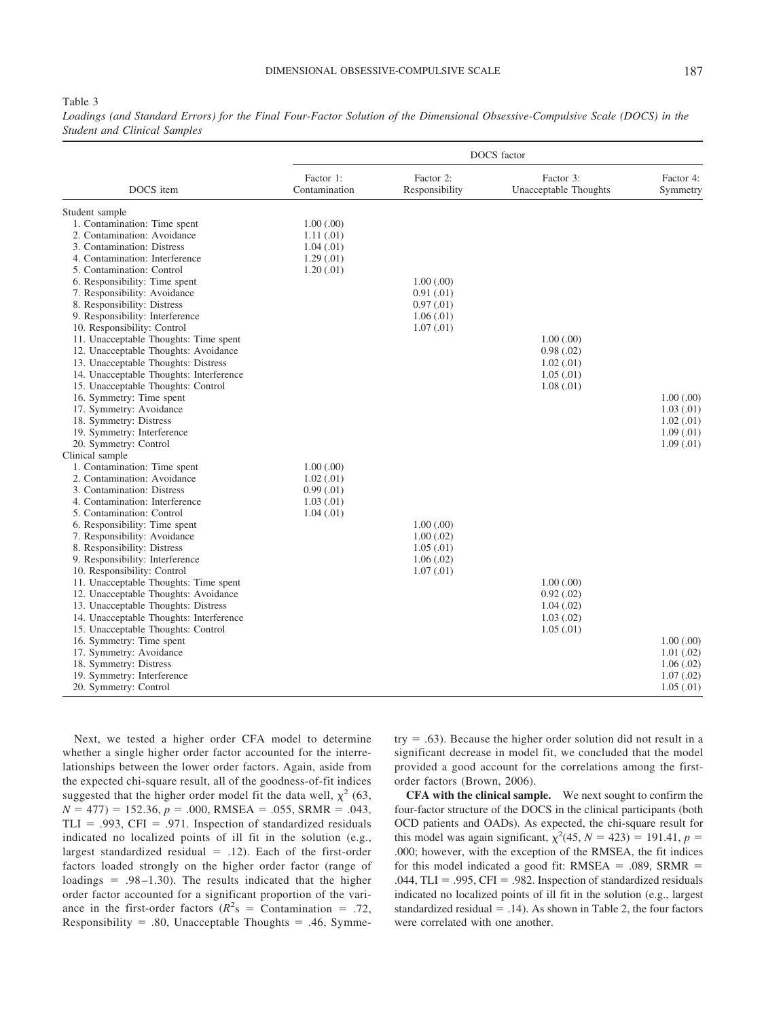#### DIMENSIONAL OBSESSIVE-COMPULSIVE SCALE 187

# Table 3

*Loadings (and Standard Errors) for the Final Four-Factor Solution of the Dimensional Obsessive-Compulsive Scale (DOCS) in the Student and Clinical Samples*

|                                         | <b>DOCS</b> factor         |                             |                                    |                       |  |  |
|-----------------------------------------|----------------------------|-----------------------------|------------------------------------|-----------------------|--|--|
| DOCS item                               | Factor 1:<br>Contamination | Factor 2:<br>Responsibility | Factor 3:<br>Unacceptable Thoughts | Factor 4:<br>Symmetry |  |  |
| Student sample                          |                            |                             |                                    |                       |  |  |
| 1. Contamination: Time spent            | 1.00(.00)                  |                             |                                    |                       |  |  |
| 2. Contamination: Avoidance             | 1.11(.01)                  |                             |                                    |                       |  |  |
| 3. Contamination: Distress              | 1.04(0.01)                 |                             |                                    |                       |  |  |
| 4. Contamination: Interference          | 1.29(0.01)                 |                             |                                    |                       |  |  |
| 5. Contamination: Control               | 1.20(0.01)                 |                             |                                    |                       |  |  |
| 6. Responsibility: Time spent           |                            | 1.00(.00)                   |                                    |                       |  |  |
| 7. Responsibility: Avoidance            |                            | 0.91(0.01)                  |                                    |                       |  |  |
| 8. Responsibility: Distress             |                            | 0.97(0.01)                  |                                    |                       |  |  |
| 9. Responsibility: Interference         |                            | 1.06(0.01)                  |                                    |                       |  |  |
| 10. Responsibility: Control             |                            | 1.07(0.01)                  |                                    |                       |  |  |
| 11. Unacceptable Thoughts: Time spent   |                            |                             | 1.00(0.00)                         |                       |  |  |
| 12. Unacceptable Thoughts: Avoidance    |                            |                             | 0.98(.02)                          |                       |  |  |
| 13. Unacceptable Thoughts: Distress     |                            |                             | 1.02(0.01)                         |                       |  |  |
| 14. Unacceptable Thoughts: Interference |                            |                             | 1.05(.01)                          |                       |  |  |
| 15. Unacceptable Thoughts: Control      |                            |                             | 1.08(.01)                          |                       |  |  |
| 16. Symmetry: Time spent                |                            |                             |                                    | 1.00(0.00)            |  |  |
| 17. Symmetry: Avoidance                 |                            |                             |                                    | 1.03(0.01)            |  |  |
| 18. Symmetry: Distress                  |                            |                             |                                    | 1.02(0.01)            |  |  |
| 19. Symmetry: Interference              |                            |                             |                                    | 1.09(0.01)            |  |  |
| 20. Symmetry: Control                   |                            |                             |                                    | 1.09(.01)             |  |  |
| Clinical sample                         |                            |                             |                                    |                       |  |  |
| 1. Contamination: Time spent            | 1.00(.00)                  |                             |                                    |                       |  |  |
| 2. Contamination: Avoidance             | 1.02(0.01)                 |                             |                                    |                       |  |  |
| 3. Contamination: Distress              | 0.99(0.01)                 |                             |                                    |                       |  |  |
| 4. Contamination: Interference          | 1.03(0.01)                 |                             |                                    |                       |  |  |
| 5. Contamination: Control               | 1.04(0.01)                 |                             |                                    |                       |  |  |
| 6. Responsibility: Time spent           |                            | 1.00(.00)                   |                                    |                       |  |  |
| 7. Responsibility: Avoidance            |                            | 1.00(.02)                   |                                    |                       |  |  |
| 8. Responsibility: Distress             |                            | 1.05(.01)                   |                                    |                       |  |  |
| 9. Responsibility: Interference         |                            | 1.06(.02)                   |                                    |                       |  |  |
| 10. Responsibility: Control             |                            | 1.07(0.01)                  |                                    |                       |  |  |
| 11. Unacceptable Thoughts: Time spent   |                            |                             | 1.00(0.00)                         |                       |  |  |
| 12. Unacceptable Thoughts: Avoidance    |                            |                             | 0.92(0.02)                         |                       |  |  |
| 13. Unacceptable Thoughts: Distress     |                            |                             | 1.04(.02)                          |                       |  |  |
| 14. Unacceptable Thoughts: Interference |                            |                             | 1.03(0.02)                         |                       |  |  |
| 15. Unacceptable Thoughts: Control      |                            |                             | 1.05(.01)                          |                       |  |  |
| 16. Symmetry: Time spent                |                            |                             |                                    | 1.00(.00)             |  |  |
| 17. Symmetry: Avoidance                 |                            |                             |                                    | 1.01(.02)             |  |  |
| 18. Symmetry: Distress                  |                            |                             |                                    | 1.06(.02)             |  |  |
| 19. Symmetry: Interference              |                            |                             |                                    | 1.07(.02)             |  |  |
| 20. Symmetry: Control                   |                            |                             |                                    | 1.05(.01)             |  |  |

Next, we tested a higher order CFA model to determine whether a single higher order factor accounted for the interrelationships between the lower order factors. Again, aside from the expected chi-square result, all of the goodness-of-fit indices suggested that the higher order model fit the data well,  $\chi^2$  (63,  $N = 477$ ) = 152.36,  $p = .000$ , RMSEA = .055, SRMR = .043, TLI = .993, CFI = .971. Inspection of standardized residuals indicated no localized points of ill fit in the solution (e.g., largest standardized residual  $= .12$ ). Each of the first-order factors loaded strongly on the higher order factor (range of loadings  $= .98 - 1.30$ . The results indicated that the higher order factor accounted for a significant proportion of the variance in the first-order factors  $(R^2s)$  = Contamination = .72, Responsibility = .80, Unacceptable Thoughts = .46, Symme $try = .63$ ). Because the higher order solution did not result in a significant decrease in model fit, we concluded that the model provided a good account for the correlations among the firstorder factors (Brown, 2006).

**CFA with the clinical sample.** We next sought to confirm the four-factor structure of the DOCS in the clinical participants (both OCD patients and OADs). As expected, the chi-square result for this model was again significant,  $\chi^2(45, N = 423) = 191.41$ ,  $p =$ .000; however, with the exception of the RMSEA, the fit indices for this model indicated a good fit: RMSEA = .089, SRMR =  $.044$ , TLI =  $.995$ , CFI =  $.982$ . Inspection of standardized residuals indicated no localized points of ill fit in the solution (e.g., largest standardized residual  $=$  .14). As shown in Table 2, the four factors were correlated with one another.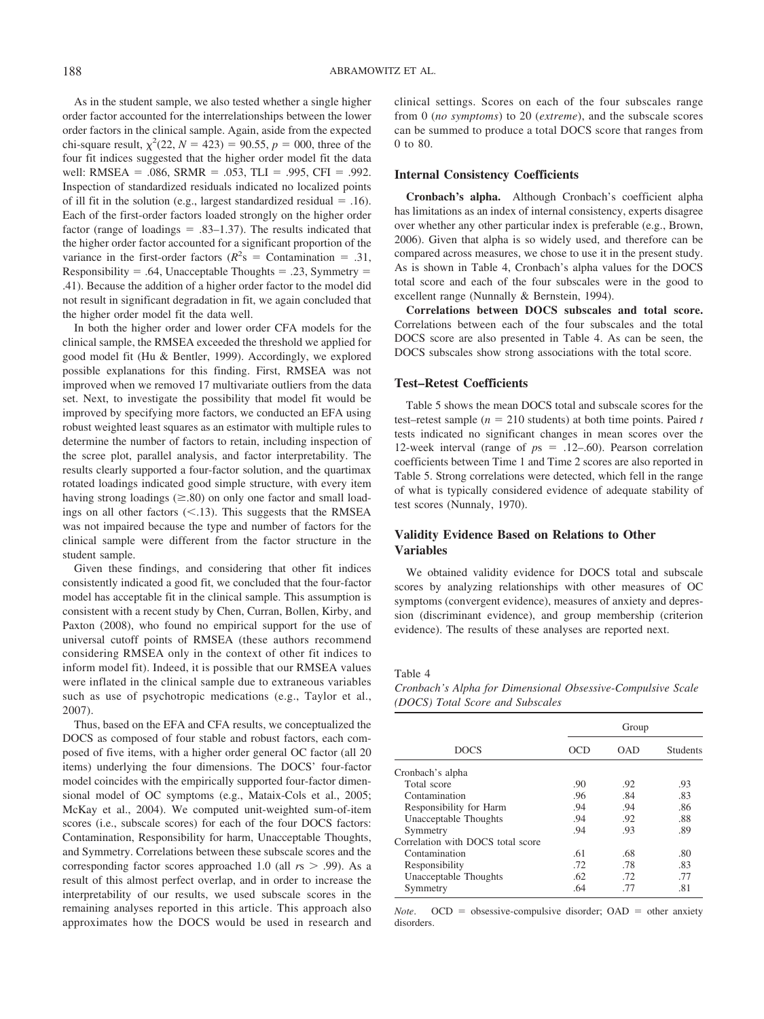As in the student sample, we also tested whether a single higher order factor accounted for the interrelationships between the lower order factors in the clinical sample. Again, aside from the expected chi-square result,  $\chi^2(22, N = 423) = 90.55$ ,  $p = 000$ , three of the four fit indices suggested that the higher order model fit the data well: RMSEA = .086, SRMR = .053, TLI = .995, CFI = .992. Inspection of standardized residuals indicated no localized points of ill fit in the solution (e.g., largest standardized residual  $= .16$ ). Each of the first-order factors loaded strongly on the higher order factor (range of loadings  $= .83-1.37$ ). The results indicated that the higher order factor accounted for a significant proportion of the variance in the first-order factors ( $R^2$ s = Contamination = .31, Responsibility = .64, Unacceptable Thoughts = .23, Symmetry = .41). Because the addition of a higher order factor to the model did not result in significant degradation in fit, we again concluded that the higher order model fit the data well.

In both the higher order and lower order CFA models for the clinical sample, the RMSEA exceeded the threshold we applied for good model fit (Hu & Bentler, 1999). Accordingly, we explored possible explanations for this finding. First, RMSEA was not improved when we removed 17 multivariate outliers from the data set. Next, to investigate the possibility that model fit would be improved by specifying more factors, we conducted an EFA using robust weighted least squares as an estimator with multiple rules to determine the number of factors to retain, including inspection of the scree plot, parallel analysis, and factor interpretability. The results clearly supported a four-factor solution, and the quartimax rotated loadings indicated good simple structure, with every item having strong loadings  $(\geq 80)$  on only one factor and small loadings on all other factors  $(<13$ ). This suggests that the RMSEA was not impaired because the type and number of factors for the clinical sample were different from the factor structure in the student sample.

Given these findings, and considering that other fit indices consistently indicated a good fit, we concluded that the four-factor model has acceptable fit in the clinical sample. This assumption is consistent with a recent study by Chen, Curran, Bollen, Kirby, and Paxton (2008), who found no empirical support for the use of universal cutoff points of RMSEA (these authors recommend considering RMSEA only in the context of other fit indices to inform model fit). Indeed, it is possible that our RMSEA values were inflated in the clinical sample due to extraneous variables such as use of psychotropic medications (e.g., Taylor et al., 2007).

Thus, based on the EFA and CFA results, we conceptualized the DOCS as composed of four stable and robust factors, each composed of five items, with a higher order general OC factor (all 20 items) underlying the four dimensions. The DOCS' four-factor model coincides with the empirically supported four-factor dimensional model of OC symptoms (e.g., Mataix-Cols et al., 2005; McKay et al., 2004). We computed unit-weighted sum-of-item scores (i.e., subscale scores) for each of the four DOCS factors: Contamination, Responsibility for harm, Unacceptable Thoughts, and Symmetry. Correlations between these subscale scores and the corresponding factor scores approached 1.0 (all  $rs > .99$ ). As a result of this almost perfect overlap, and in order to increase the interpretability of our results, we used subscale scores in the remaining analyses reported in this article. This approach also approximates how the DOCS would be used in research and clinical settings. Scores on each of the four subscales range from 0 (*no symptoms*) to 20 (*extreme*), and the subscale scores can be summed to produce a total DOCS score that ranges from 0 to 80.

# **Internal Consistency Coefficients**

**Cronbach's alpha.** Although Cronbach's coefficient alpha has limitations as an index of internal consistency, experts disagree over whether any other particular index is preferable (e.g., Brown, 2006). Given that alpha is so widely used, and therefore can be compared across measures, we chose to use it in the present study. As is shown in Table 4, Cronbach's alpha values for the DOCS total score and each of the four subscales were in the good to excellent range (Nunnally & Bernstein, 1994).

**Correlations between DOCS subscales and total score.** Correlations between each of the four subscales and the total DOCS score are also presented in Table 4. As can be seen, the DOCS subscales show strong associations with the total score.

# **Test–Retest Coefficients**

Table 5 shows the mean DOCS total and subscale scores for the test–retest sample ( $n = 210$  students) at both time points. Paired *t* tests indicated no significant changes in mean scores over the 12-week interval (range of  $ps = .12-.60$ ). Pearson correlation coefficients between Time 1 and Time 2 scores are also reported in Table 5. Strong correlations were detected, which fell in the range of what is typically considered evidence of adequate stability of test scores (Nunnaly, 1970).

# **Validity Evidence Based on Relations to Other Variables**

We obtained validity evidence for DOCS total and subscale scores by analyzing relationships with other measures of OC symptoms (convergent evidence), measures of anxiety and depression (discriminant evidence), and group membership (criterion evidence). The results of these analyses are reported next.

Table 4

*Cronbach's Alpha for Dimensional Obsessive-Compulsive Scale (DOCS) Total Score and Subscales*

|                                   |     | Group      |                 |
|-----------------------------------|-----|------------|-----------------|
| <b>DOCS</b>                       | OCD | <b>OAD</b> | <b>Students</b> |
| Cronbach's alpha                  |     |            |                 |
| Total score                       | .90 | .92        | .93             |
| Contamination                     | .96 | .84        | .83             |
| Responsibility for Harm           | .94 | .94        | .86             |
| Unacceptable Thoughts             | .94 | .92        | .88             |
| Symmetry                          | .94 | .93        | .89             |
| Correlation with DOCS total score |     |            |                 |
| Contamination                     | .61 | .68        | .80             |
| Responsibility                    | 72  | -78        | .83             |
| Unacceptable Thoughts             | .62 | .72        | .77             |
| Symmetry                          | .64 | .77        | .81             |
|                                   |     |            |                 |

*Note*.  $OCD =$  obsessive-compulsive disorder;  $OAD =$  other anxiety disorders.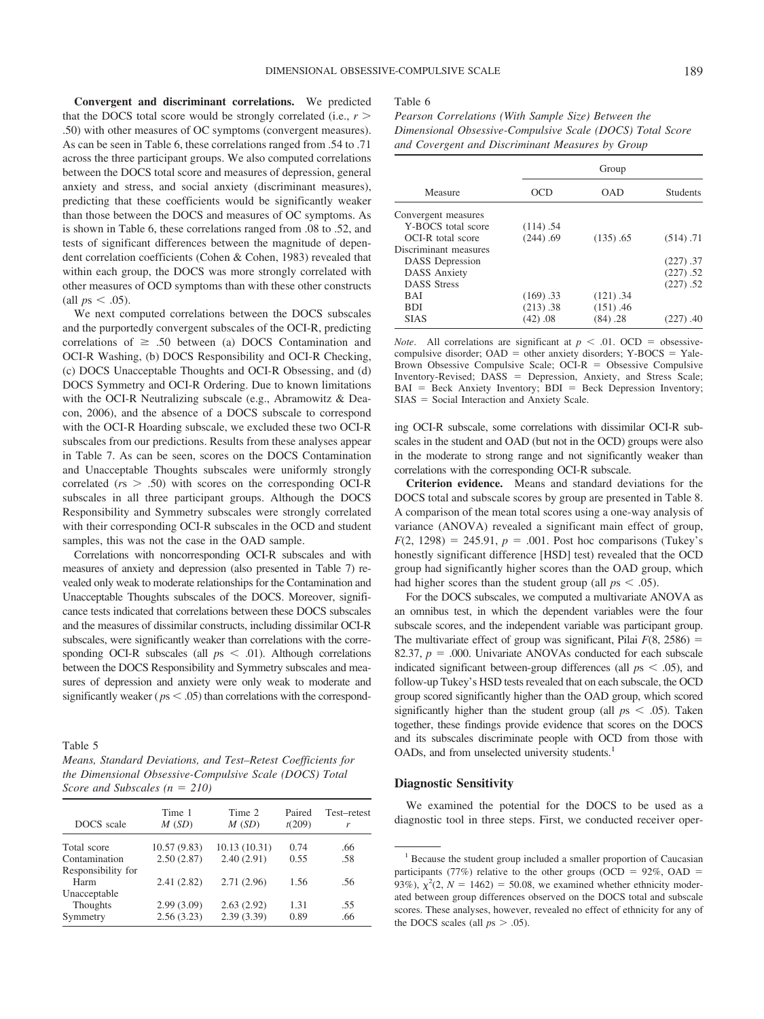**Convergent and discriminant correlations.** We predicted that the DOCS total score would be strongly correlated (i.e.,  $r >$ .50) with other measures of OC symptoms (convergent measures). As can be seen in Table 6, these correlations ranged from .54 to .71 across the three participant groups. We also computed correlations between the DOCS total score and measures of depression, general anxiety and stress, and social anxiety (discriminant measures), predicting that these coefficients would be significantly weaker than those between the DOCS and measures of OC symptoms. As is shown in Table 6, these correlations ranged from .08 to .52, and tests of significant differences between the magnitude of dependent correlation coefficients (Cohen & Cohen, 1983) revealed that within each group, the DOCS was more strongly correlated with other measures of OCD symptoms than with these other constructs  $\text{(all } ps < .05).$ 

We next computed correlations between the DOCS subscales and the purportedly convergent subscales of the OCI-R, predicting correlations of  $\geq .50$  between (a) DOCS Contamination and OCI-R Washing, (b) DOCS Responsibility and OCI-R Checking, (c) DOCS Unacceptable Thoughts and OCI-R Obsessing, and (d) DOCS Symmetry and OCI-R Ordering. Due to known limitations with the OCI-R Neutralizing subscale (e.g., Abramowitz & Deacon, 2006), and the absence of a DOCS subscale to correspond with the OCI-R Hoarding subscale, we excluded these two OCI-R subscales from our predictions. Results from these analyses appear in Table 7. As can be seen, scores on the DOCS Contamination and Unacceptable Thoughts subscales were uniformly strongly correlated  $(rs > .50)$  with scores on the corresponding OCI-R subscales in all three participant groups. Although the DOCS Responsibility and Symmetry subscales were strongly correlated with their corresponding OCI-R subscales in the OCD and student samples, this was not the case in the OAD sample.

Correlations with noncorresponding OCI-R subscales and with measures of anxiety and depression (also presented in Table 7) revealed only weak to moderate relationships for the Contamination and Unacceptable Thoughts subscales of the DOCS. Moreover, significance tests indicated that correlations between these DOCS subscales and the measures of dissimilar constructs, including dissimilar OCI-R subscales, were significantly weaker than correlations with the corresponding OCI-R subscales (all  $ps < .01$ ). Although correlations between the DOCS Responsibility and Symmetry subscales and measures of depression and anxiety were only weak to moderate and significantly weaker ( $ps < .05$ ) than correlations with the correspond-

Table 5

*Means, Standard Deviations, and Test–Retest Coefficients for the Dimensional Obsessive-Compulsive Scale (DOCS) Total Score and Subscales*  $(n = 210)$ 

| DOCS scale         | Time 1<br>M(SD) | Time 2<br>M(SD) | Paired<br>t(209) | Test-retest<br>r |
|--------------------|-----------------|-----------------|------------------|------------------|
| Total score        | 10.57(9.83)     | 10.13(10.31)    | 0.74             | .66              |
| Contamination      | 2.50(2.87)      | 2.40(2.91)      | 0.55             | .58              |
| Responsibility for |                 |                 |                  |                  |
| Harm               | 2.41(2.82)      | 2.71(2.96)      | 1.56             | .56              |
| Unacceptable       |                 |                 |                  |                  |
| Thoughts           | 2.99(3.09)      | 2.63(2.92)      | 1.31             | .55              |
| Symmetry           | 2.56(3.23)      | 2.39(3.39)      | 0.89             | .66              |

#### Table 6

*Pearson Correlations (With Sample Size) Between the Dimensional Obsessive-Compulsive Scale (DOCS) Total Score and Covergent and Discriminant Measures by Group*

|                        | Group     |            |                 |  |  |  |
|------------------------|-----------|------------|-----------------|--|--|--|
| Measure                | OCD       | <b>OAD</b> | <b>Students</b> |  |  |  |
| Convergent measures    |           |            |                 |  |  |  |
| Y-BOCS total score     | (114) .54 |            |                 |  |  |  |
| OCI-R total score      | (244) .69 | (135) .65  | $(514)$ .71     |  |  |  |
| Discriminant measures  |           |            |                 |  |  |  |
| <b>DASS</b> Depression |           |            | (227) .37       |  |  |  |
| <b>DASS Anxiety</b>    |           |            | (227) .52       |  |  |  |
| <b>DASS</b> Stress     |           |            | (227) .52       |  |  |  |
| <b>BAI</b>             | (169) .33 | (121) .34  |                 |  |  |  |
| <b>BDI</b>             | (213) .38 | (151) .46  |                 |  |  |  |
| <b>SIAS</b>            | (42) .08  | (84) .28   | (227) .40       |  |  |  |

*Note*. All correlations are significant at  $p \leq .01$ . OCD = obsessivecompulsive disorder;  $OAD =$  other anxiety disorders; Y-BOCS = Yale-Brown Obsessive Compulsive Scale; OCI-R = Obsessive Compulsive Inventory-Revised; DASS = Depression, Anxiety, and Stress Scale; BAI = Beck Anxiety Inventory; BDI = Beck Depression Inventory;  $SIAS = Social Interaction and Anxiety Scale.$ 

ing OCI-R subscale, some correlations with dissimilar OCI-R subscales in the student and OAD (but not in the OCD) groups were also in the moderate to strong range and not significantly weaker than correlations with the corresponding OCI-R subscale.

**Criterion evidence.** Means and standard deviations for the DOCS total and subscale scores by group are presented in Table 8. A comparison of the mean total scores using a one-way analysis of variance (ANOVA) revealed a significant main effect of group,  $F(2, 1298) = 245.91$ ,  $p = .001$ . Post hoc comparisons (Tukey's honestly significant difference [HSD] test) revealed that the OCD group had significantly higher scores than the OAD group, which had higher scores than the student group (all  $ps < .05$ ).

For the DOCS subscales, we computed a multivariate ANOVA as an omnibus test, in which the dependent variables were the four subscale scores, and the independent variable was participant group. The multivariate effect of group was significant, Pilai  $F(8, 2586) =$ 82.37,  $p = .000$ . Univariate ANOVAs conducted for each subscale indicated significant between-group differences (all  $ps < .05$ ), and follow-up Tukey's HSD tests revealed that on each subscale, the OCD group scored significantly higher than the OAD group, which scored significantly higher than the student group (all  $ps < .05$ ). Taken together, these findings provide evidence that scores on the DOCS and its subscales discriminate people with OCD from those with OADs, and from unselected university students.<sup>1</sup>

# **Diagnostic Sensitivity**

We examined the potential for the DOCS to be used as a diagnostic tool in three steps. First, we conducted receiver oper-

<sup>&</sup>lt;sup>1</sup> Because the student group included a smaller proportion of Caucasian participants (77%) relative to the other groups (OCD =  $92\%$ , OAD = 93%),  $\chi^2(2, N = 1462) = 50.08$ , we examined whether ethnicity moderated between group differences observed on the DOCS total and subscale scores. These analyses, however, revealed no effect of ethnicity for any of the DOCS scales (all  $ps > .05$ ).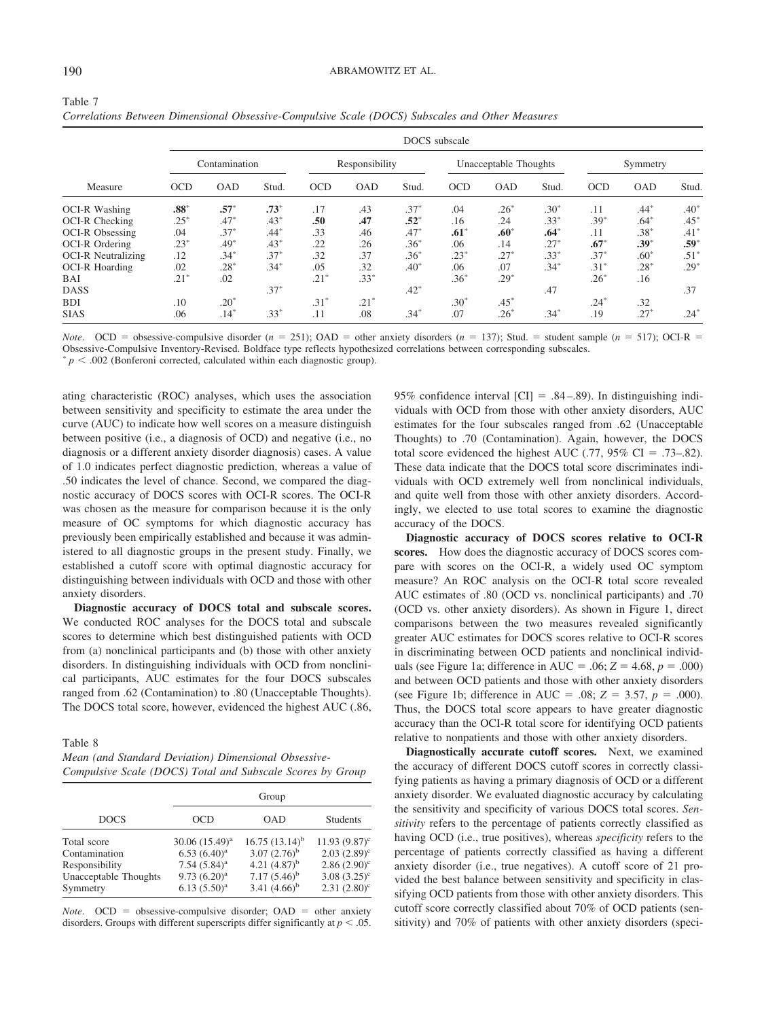Table 7

|                           |            |               |        | $\mathbf{r}$ |                |        |               |                       |        |            |            |        |
|---------------------------|------------|---------------|--------|--------------|----------------|--------|---------------|-----------------------|--------|------------|------------|--------|
|                           |            |               |        |              |                |        | DOCS subscale |                       |        |            |            |        |
|                           |            | Contamination |        |              | Responsibility |        |               | Unacceptable Thoughts |        |            | Symmetry   |        |
| Measure                   | <b>OCD</b> | <b>OAD</b>    | Stud.  | <b>OCD</b>   | <b>OAD</b>     | Stud.  | <b>OCD</b>    | <b>OAD</b>            | Stud.  | <b>OCD</b> | <b>OAD</b> | Stud.  |
| OCI-R Washing             | $.88*$     | $.57*$        | $.73*$ | .17          | .43            | $.37*$ | .04           | $.26*$                | $.30*$ | .11        | $.44*$     | $.40*$ |
| OCI-R Checking            | $.25*$     | $.47*$        | $.43*$ | .50          | .47            | $.52*$ | .16           | .24                   | $.33*$ | $.39*$     | $.64*$     | $.45*$ |
| OCI-R Obsessing           | .04        | $.37*$        | $.44*$ | .33          | .46            | $.47*$ | $.61*$        | $.60*$                | $.64*$ | .11        | $.38*$     | $.41*$ |
| OCI-R Ordering            | $.23*$     | $.49*$        | $.43*$ | .22          | .26            | $.36*$ | .06           | .14                   | $.27*$ | .67        | $.39*$     | $.59*$ |
| <b>OCI-R Neutralizing</b> | .12        | $.34*$        | $.37*$ | .32          | .37            | $.36*$ | $.23*$        | $.27*$                | $.33*$ | $.37*$     | $.60*$     | $.51*$ |
| OCI-R Hoarding            | .02        | $.28*$        | $.34*$ | .05          | .32            | $.40*$ | .06           | .07                   | $.34*$ | $.31*$     | $.28*$     | $.29*$ |
| <b>BAI</b>                | $.21*$     | .02           |        | $.21*$       | $.33*$         |        | $.36*$        | $.29*$                |        | $.26*$     | .16        |        |
| <b>DASS</b>               |            |               | $.37*$ |              |                | $.42*$ |               |                       | .47    |            |            | .37    |
| <b>BDI</b>                | .10        | $.20*$        |        | $.31*$       | $.21*$         |        | $.30*$        | $.45*$                |        | $.24*$     | .32        |        |
| <b>SIAS</b>               | .06        | $.14*$        | $.33*$ | .11          | .08            | $.34*$ | .07           | $.26*$                | $.34*$ | .19        | $.27*$     | $.24*$ |

|  |  | Correlations Between Dimensional Obsessive-Compulsive Scale (DOCS) Subscales and Other Measures |
|--|--|-------------------------------------------------------------------------------------------------|
|--|--|-------------------------------------------------------------------------------------------------|

*Note*. OCD = obsessive-compulsive disorder ( $n = 251$ ); OAD = other anxiety disorders ( $n = 137$ ); Stud. = student sample ( $n = 517$ ); OCI-R = Obsessive-Compulsive Inventory-Revised. Boldface type reflects hypothesized correlations between corresponding subscales.

 $p < .002$  (Bonferoni corrected, calculated within each diagnostic group).

ating characteristic (ROC) analyses, which uses the association between sensitivity and specificity to estimate the area under the curve (AUC) to indicate how well scores on a measure distinguish between positive (i.e., a diagnosis of OCD) and negative (i.e., no diagnosis or a different anxiety disorder diagnosis) cases. A value of 1.0 indicates perfect diagnostic prediction, whereas a value of .50 indicates the level of chance. Second, we compared the diagnostic accuracy of DOCS scores with OCI-R scores. The OCI-R was chosen as the measure for comparison because it is the only measure of OC symptoms for which diagnostic accuracy has previously been empirically established and because it was administered to all diagnostic groups in the present study. Finally, we established a cutoff score with optimal diagnostic accuracy for distinguishing between individuals with OCD and those with other anxiety disorders.

**Diagnostic accuracy of DOCS total and subscale scores.** We conducted ROC analyses for the DOCS total and subscale scores to determine which best distinguished patients with OCD from (a) nonclinical participants and (b) those with other anxiety disorders. In distinguishing individuals with OCD from nonclinical participants, AUC estimates for the four DOCS subscales ranged from .62 (Contamination) to .80 (Unacceptable Thoughts). The DOCS total score, however, evidenced the highest AUC (.86,

Table 8

*Mean (and Standard Deviation) Dimensional Obsessive-Compulsive Scale (DOCS) Total and Subscale Scores by Group*

|                                                                                     |                                                                                               | Group                                                                                            |                                                                                                                     |
|-------------------------------------------------------------------------------------|-----------------------------------------------------------------------------------------------|--------------------------------------------------------------------------------------------------|---------------------------------------------------------------------------------------------------------------------|
| <b>DOCS</b>                                                                         | OCD                                                                                           | <b>OAD</b>                                                                                       | <b>Students</b>                                                                                                     |
| Total score<br>Contamination<br>Responsibility<br>Unacceptable Thoughts<br>Symmetry | $30.06$ $(15.49)^a$<br>$6.53(6.40)^a$<br>$7.54(5.84)^a$<br>$9.73(6.20)^a$<br>$(6.13(5.50)^a)$ | $16.75(13.14)^{b}$<br>$3.07(2.76)^{b}$<br>4.21 $(4.87)^{b}$<br>$7.17(5.46)^b$<br>3.41 $(4.66)^b$ | $11.93(9.87)^c$<br>$2.03(2.89)^c$<br>$2.86(2.90)$ <sup>c</sup><br>$3.08(3.25)^{\circ}$<br>$2.31(2.80)$ <sup>c</sup> |

*Note*. OCD = obsessive-compulsive disorder; OAD = other anxiety disorders. Groups with different superscripts differ significantly at  $p < .05$ . 95% confidence interval  $\text{[CI]} = .84 - .89$ ). In distinguishing individuals with OCD from those with other anxiety disorders, AUC estimates for the four subscales ranged from .62 (Unacceptable Thoughts) to .70 (Contamination). Again, however, the DOCS total score evidenced the highest AUC  $(.77, 95\% \text{ CI} = .73-.82)$ . These data indicate that the DOCS total score discriminates individuals with OCD extremely well from nonclinical individuals, and quite well from those with other anxiety disorders. Accordingly, we elected to use total scores to examine the diagnostic accuracy of the DOCS.

**Diagnostic accuracy of DOCS scores relative to OCI-R scores.** How does the diagnostic accuracy of DOCS scores compare with scores on the OCI-R, a widely used OC symptom measure? An ROC analysis on the OCI-R total score revealed AUC estimates of .80 (OCD vs. nonclinical participants) and .70 (OCD vs. other anxiety disorders). As shown in Figure 1, direct comparisons between the two measures revealed significantly greater AUC estimates for DOCS scores relative to OCI-R scores in discriminating between OCD patients and nonclinical individuals (see Figure 1a; difference in AUC = .06;  $Z = 4.68$ ,  $p = .000$ ) and between OCD patients and those with other anxiety disorders (see Figure 1b; difference in AUC = .08;  $Z = 3.57$ ,  $p = .000$ ). Thus, the DOCS total score appears to have greater diagnostic accuracy than the OCI-R total score for identifying OCD patients relative to nonpatients and those with other anxiety disorders.

**Diagnostically accurate cutoff scores.** Next, we examined the accuracy of different DOCS cutoff scores in correctly classifying patients as having a primary diagnosis of OCD or a different anxiety disorder. We evaluated diagnostic accuracy by calculating the sensitivity and specificity of various DOCS total scores. *Sensitivity* refers to the percentage of patients correctly classified as having OCD (i.e., true positives), whereas *specificity* refers to the percentage of patients correctly classified as having a different anxiety disorder (i.e., true negatives). A cutoff score of 21 provided the best balance between sensitivity and specificity in classifying OCD patients from those with other anxiety disorders. This cutoff score correctly classified about 70% of OCD patients (sensitivity) and 70% of patients with other anxiety disorders (speci-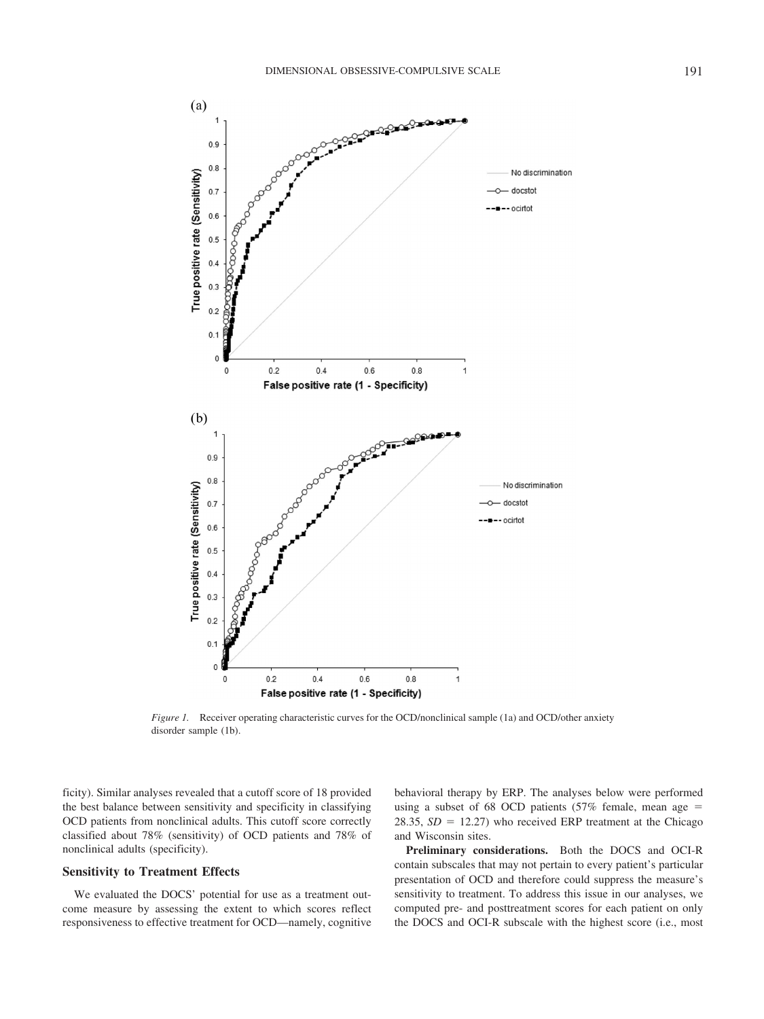

*Figure 1.* Receiver operating characteristic curves for the OCD/nonclinical sample (1a) and OCD/other anxiety disorder sample (1b).

ficity). Similar analyses revealed that a cutoff score of 18 provided the best balance between sensitivity and specificity in classifying OCD patients from nonclinical adults. This cutoff score correctly classified about 78% (sensitivity) of OCD patients and 78% of nonclinical adults (specificity).

### **Sensitivity to Treatment Effects**

We evaluated the DOCS' potential for use as a treatment outcome measure by assessing the extent to which scores reflect responsiveness to effective treatment for OCD—namely, cognitive behavioral therapy by ERP. The analyses below were performed using a subset of 68 OCD patients (57% female, mean age  $=$ 28.35,  $SD = 12.27$ ) who received ERP treatment at the Chicago and Wisconsin sites.

**Preliminary considerations.** Both the DOCS and OCI-R contain subscales that may not pertain to every patient's particular presentation of OCD and therefore could suppress the measure's sensitivity to treatment. To address this issue in our analyses, we computed pre- and posttreatment scores for each patient on only the DOCS and OCI-R subscale with the highest score (i.e., most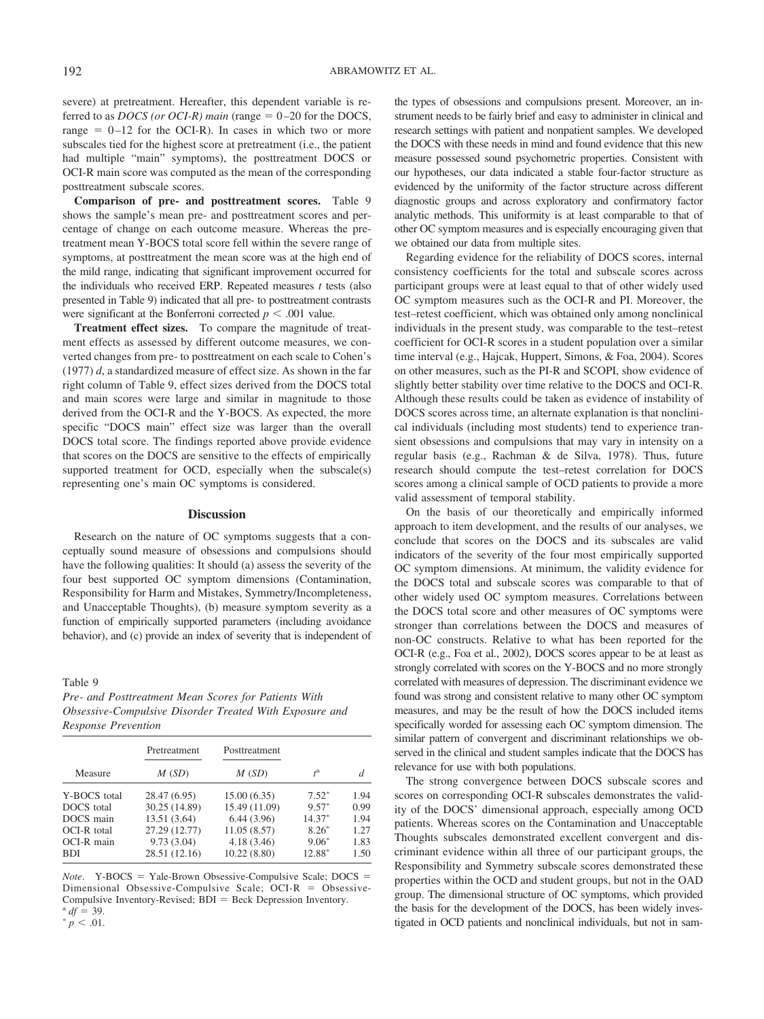severe) at pretreatment. Hereafter, this dependent variable is referred to as *DOCS* (or *OCI-R*) main (range  $= 0-20$  for the DOCS, range  $= 0-12$  for the OCI-R). In cases in which two or more subscales tied for the highest score at pretreatment (i.e., the patient had multiple "main" symptoms), the posttreatment DOCS or OCI-R main score was computed as the mean of the corresponding posttreatment subscale scores.

**Comparison of pre- and posttreatment scores.** Table 9 shows the sample's mean pre- and posttreatment scores and percentage of change on each outcome measure. Whereas the pretreatment mean Y-BOCS total score fell within the severe range of symptoms, at posttreatment the mean score was at the high end of the mild range, indicating that significant improvement occurred for the individuals who received ERP. Repeated measures *t* tests (also presented in Table 9) indicated that all pre- to posttreatment contrasts were significant at the Bonferroni corrected  $p < .001$  value.

**Treatment effect sizes.** To compare the magnitude of treatment effects as assessed by different outcome measures, we converted changes from pre- to posttreatment on each scale to Cohen's (1977) *d*, a standardized measure of effect size. As shown in the far right column of Table 9, effect sizes derived from the DOCS total and main scores were large and similar in magnitude to those derived from the OCI-R and the Y-BOCS. As expected, the more specific "DOCS main" effect size was larger than the overall DOCS total score. The findings reported above provide evidence that scores on the DOCS are sensitive to the effects of empirically supported treatment for OCD, especially when the subscale(s) representing one's main OC symptoms is considered.

# **Discussion**

Research on the nature of OC symptoms suggests that a conceptually sound measure of obsessions and compulsions should have the following qualities: It should (a) assess the severity of the four best supported OC symptom dimensions (Contamination, Responsibility for Harm and Mistakes, Symmetry/Incompleteness, and Unacceptable Thoughts), (b) measure symptom severity as a function of empirically supported parameters (including avoidance behavior), and (c) provide an index of severity that is independent of

Table 9

*Pre- and Posttreatment Mean Scores for Patients With Obsessive-Compulsive Disorder Treated With Exposure and Response Prevention*

|              | Pretreatment  | Posttreatment |             |      |
|--------------|---------------|---------------|-------------|------|
| Measure      | M(SD)         | M(SD)         | $t^{\rm a}$ | d    |
| Y-BOCS total | 28.47 (6.95)  | 15.00(6.35)   | $7.52*$     | 1.94 |
| DOCS total   | 30.25 (14.89) | 15.49 (11.09) | $9.57*$     | 0.99 |
| DOCS main    | 13.51 (3.64)  | 6.44(3.96)    | $14.37*$    | 1.94 |
| OCI-R total  | 27.29 (12.77) | 11.05(8.57)   | $8.26*$     | 1.27 |
| OCI-R main   | 9.73(3.04)    | 4.18(3.46)    | $9.06*$     | 1.83 |
| <b>BDI</b>   | 28.51 (12.16) | 10.22(8.80)   | 12.88*      | 1.50 |

*Note*. Y-BOCS = Yale-Brown Obsessive-Compulsive Scale; DOCS = Dimensional Obsessive-Compulsive Scale; OCI-R = Obsessive-Compulsive Inventory-Revised;  $BDI = Beck$  Depression Inventory.  $a \, df = 39$ .

the types of obsessions and compulsions present. Moreover, an instrument needs to be fairly brief and easy to administer in clinical and research settings with patient and nonpatient samples. We developed the DOCS with these needs in mind and found evidence that this new measure possessed sound psychometric properties. Consistent with our hypotheses, our data indicated a stable four-factor structure as evidenced by the uniformity of the factor structure across different diagnostic groups and across exploratory and confirmatory factor analytic methods. This uniformity is at least comparable to that of other OC symptom measures and is especially encouraging given that we obtained our data from multiple sites.

Regarding evidence for the reliability of DOCS scores, internal consistency coefficients for the total and subscale scores across participant groups were at least equal to that of other widely used OC symptom measures such as the OCI-R and PI. Moreover, the test–retest coefficient, which was obtained only among nonclinical individuals in the present study, was comparable to the test–retest coefficient for OCI-R scores in a student population over a similar time interval (e.g., Hajcak, Huppert, Simons, & Foa, 2004). Scores on other measures, such as the PI-R and SCOPI, show evidence of slightly better stability over time relative to the DOCS and OCI-R. Although these results could be taken as evidence of instability of DOCS scores across time, an alternate explanation is that nonclinical individuals (including most students) tend to experience transient obsessions and compulsions that may vary in intensity on a regular basis (e.g., Rachman & de Silva, 1978). Thus, future research should compute the test–retest correlation for DOCS scores among a clinical sample of OCD patients to provide a more valid assessment of temporal stability.

On the basis of our theoretically and empirically informed approach to item development, and the results of our analyses, we conclude that scores on the DOCS and its subscales are valid indicators of the severity of the four most empirically supported OC symptom dimensions. At minimum, the validity evidence for the DOCS total and subscale scores was comparable to that of other widely used OC symptom measures. Correlations between the DOCS total score and other measures of OC symptoms were stronger than correlations between the DOCS and measures of non-OC constructs. Relative to what has been reported for the OCI-R (e.g., Foa et al., 2002), DOCS scores appear to be at least as strongly correlated with scores on the Y-BOCS and no more strongly correlated with measures of depression. The discriminant evidence we found was strong and consistent relative to many other OC symptom measures, and may be the result of how the DOCS included items specifically worded for assessing each OC symptom dimension. The similar pattern of convergent and discriminant relationships we observed in the clinical and student samples indicate that the DOCS has relevance for use with both populations.

The strong convergence between DOCS subscale scores and scores on corresponding OCI-R subscales demonstrates the validity of the DOCS' dimensional approach, especially among OCD patients. Whereas scores on the Contamination and Unacceptable Thoughts subscales demonstrated excellent convergent and discriminant evidence within all three of our participant groups, the Responsibility and Symmetry subscale scores demonstrated these properties within the OCD and student groups, but not in the OAD group. The dimensional structure of OC symptoms, which provided the basis for the development of the DOCS, has been widely investigated in OCD patients and nonclinical individuals, but not in sam-

 $p < .01$ .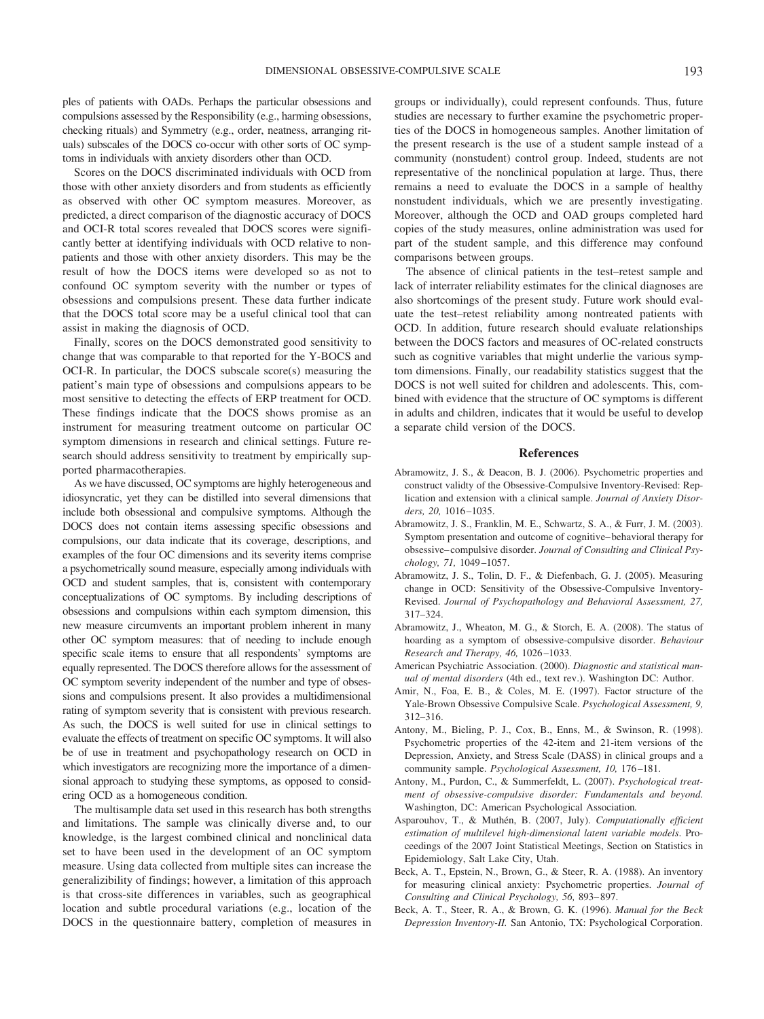ples of patients with OADs. Perhaps the particular obsessions and compulsions assessed by the Responsibility (e.g., harming obsessions, checking rituals) and Symmetry (e.g., order, neatness, arranging rituals) subscales of the DOCS co-occur with other sorts of OC symptoms in individuals with anxiety disorders other than OCD.

Scores on the DOCS discriminated individuals with OCD from those with other anxiety disorders and from students as efficiently as observed with other OC symptom measures. Moreover, as predicted, a direct comparison of the diagnostic accuracy of DOCS and OCI-R total scores revealed that DOCS scores were significantly better at identifying individuals with OCD relative to nonpatients and those with other anxiety disorders. This may be the result of how the DOCS items were developed so as not to confound OC symptom severity with the number or types of obsessions and compulsions present. These data further indicate that the DOCS total score may be a useful clinical tool that can assist in making the diagnosis of OCD.

Finally, scores on the DOCS demonstrated good sensitivity to change that was comparable to that reported for the Y-BOCS and OCI-R. In particular, the DOCS subscale score(s) measuring the patient's main type of obsessions and compulsions appears to be most sensitive to detecting the effects of ERP treatment for OCD. These findings indicate that the DOCS shows promise as an instrument for measuring treatment outcome on particular OC symptom dimensions in research and clinical settings. Future research should address sensitivity to treatment by empirically supported pharmacotherapies.

As we have discussed, OC symptoms are highly heterogeneous and idiosyncratic, yet they can be distilled into several dimensions that include both obsessional and compulsive symptoms. Although the DOCS does not contain items assessing specific obsessions and compulsions, our data indicate that its coverage, descriptions, and examples of the four OC dimensions and its severity items comprise a psychometrically sound measure, especially among individuals with OCD and student samples, that is, consistent with contemporary conceptualizations of OC symptoms. By including descriptions of obsessions and compulsions within each symptom dimension, this new measure circumvents an important problem inherent in many other OC symptom measures: that of needing to include enough specific scale items to ensure that all respondents' symptoms are equally represented. The DOCS therefore allows for the assessment of OC symptom severity independent of the number and type of obsessions and compulsions present. It also provides a multidimensional rating of symptom severity that is consistent with previous research. As such, the DOCS is well suited for use in clinical settings to evaluate the effects of treatment on specific OC symptoms. It will also be of use in treatment and psychopathology research on OCD in which investigators are recognizing more the importance of a dimensional approach to studying these symptoms, as opposed to considering OCD as a homogeneous condition.

The multisample data set used in this research has both strengths and limitations. The sample was clinically diverse and, to our knowledge, is the largest combined clinical and nonclinical data set to have been used in the development of an OC symptom measure. Using data collected from multiple sites can increase the generalizibility of findings; however, a limitation of this approach is that cross-site differences in variables, such as geographical location and subtle procedural variations (e.g., location of the DOCS in the questionnaire battery, completion of measures in groups or individually), could represent confounds. Thus, future studies are necessary to further examine the psychometric properties of the DOCS in homogeneous samples. Another limitation of the present research is the use of a student sample instead of a community (nonstudent) control group. Indeed, students are not representative of the nonclinical population at large. Thus, there remains a need to evaluate the DOCS in a sample of healthy nonstudent individuals, which we are presently investigating. Moreover, although the OCD and OAD groups completed hard copies of the study measures, online administration was used for part of the student sample, and this difference may confound comparisons between groups.

The absence of clinical patients in the test–retest sample and lack of interrater reliability estimates for the clinical diagnoses are also shortcomings of the present study. Future work should evaluate the test–retest reliability among nontreated patients with OCD. In addition, future research should evaluate relationships between the DOCS factors and measures of OC-related constructs such as cognitive variables that might underlie the various symptom dimensions. Finally, our readability statistics suggest that the DOCS is not well suited for children and adolescents. This, combined with evidence that the structure of OC symptoms is different in adults and children, indicates that it would be useful to develop a separate child version of the DOCS.

#### **References**

- Abramowitz, J. S., & Deacon, B. J. (2006). Psychometric properties and construct validty of the Obsessive-Compulsive Inventory-Revised: Replication and extension with a clinical sample. *Journal of Anxiety Disorders, 20,* 1016 –1035.
- Abramowitz, J. S., Franklin, M. E., Schwartz, S. A., & Furr, J. M. (2003). Symptom presentation and outcome of cognitive– behavioral therapy for obsessive– compulsive disorder. *Journal of Consulting and Clinical Psychology, 71,* 1049 –1057.
- Abramowitz, J. S., Tolin, D. F., & Diefenbach, G. J. (2005). Measuring change in OCD: Sensitivity of the Obsessive-Compulsive Inventory-Revised. *Journal of Psychopathology and Behavioral Assessment, 27,* 317–324.
- Abramowitz, J., Wheaton, M. G., & Storch, E. A. (2008). The status of hoarding as a symptom of obsessive-compulsive disorder. *Behaviour Research and Therapy, 46,* 1026 –1033.
- American Psychiatric Association. (2000). *Diagnostic and statistical manual of mental disorders* (4th ed., text rev.). Washington DC: Author.
- Amir, N., Foa, E. B., & Coles, M. E. (1997). Factor structure of the Yale-Brown Obsessive Compulsive Scale. *Psychological Assessment, 9,* 312–316.
- Antony, M., Bieling, P. J., Cox, B., Enns, M., & Swinson, R. (1998). Psychometric properties of the 42-item and 21-item versions of the Depression, Anxiety, and Stress Scale (DASS) in clinical groups and a community sample. *Psychological Assessment, 10, 176-181*.
- Antony, M., Purdon, C., & Summerfeldt, L. (2007). *Psychological treatment of obsessive-compulsive disorder: Fundamentals and beyond.* Washington, DC: American Psychological Association*.*
- Asparouhov, T., & Muthén, B. (2007, July). *Computationally efficient estimation of multilevel high-dimensional latent variable models*. Proceedings of the 2007 Joint Statistical Meetings, Section on Statistics in Epidemiology, Salt Lake City, Utah.
- Beck, A. T., Epstein, N., Brown, G., & Steer, R. A. (1988). An inventory for measuring clinical anxiety: Psychometric properties. *Journal of Consulting and Clinical Psychology, 56,* 893– 897.
- Beck, A. T., Steer, R. A., & Brown, G. K. (1996). *Manual for the Beck Depression Inventory-II.* San Antonio, TX: Psychological Corporation.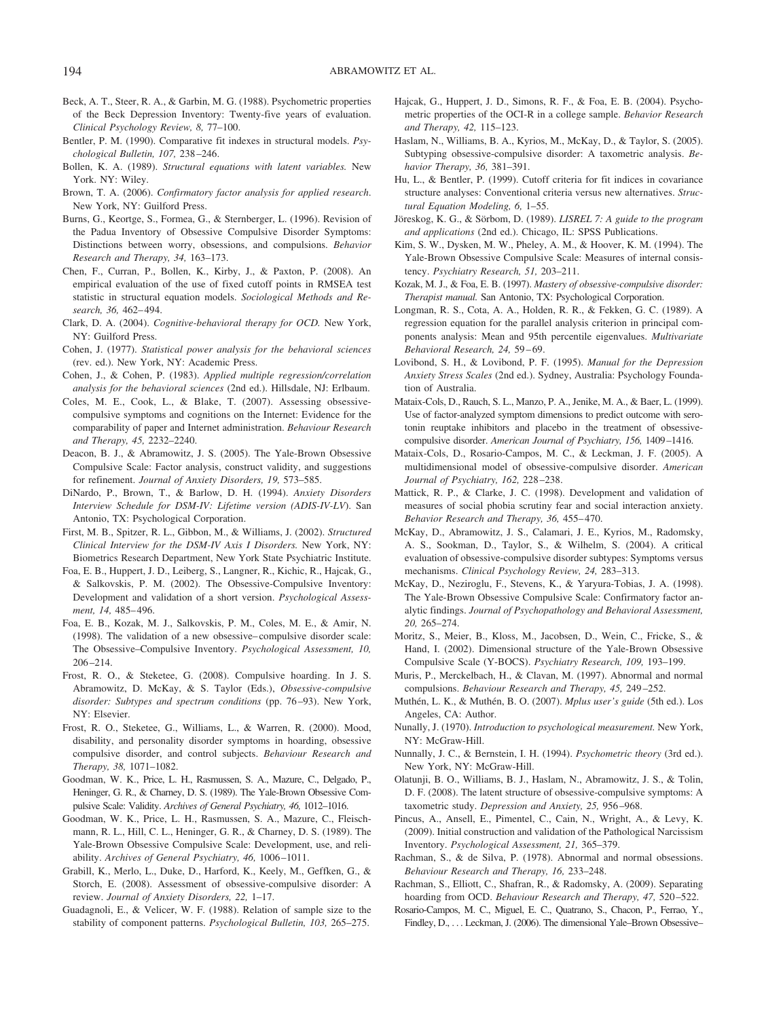- Beck, A. T., Steer, R. A., & Garbin, M. G. (1988). Psychometric properties of the Beck Depression Inventory: Twenty-five years of evaluation. *Clinical Psychology Review, 8,* 77–100.
- Bentler, P. M. (1990). Comparative fit indexes in structural models. *Psychological Bulletin, 107,* 238 –246.
- Bollen, K. A. (1989). *Structural equations with latent variables.* New York. NY: Wiley.
- Brown, T. A. (2006). *Confirmatory factor analysis for applied research*. New York, NY: Guilford Press.
- Burns, G., Keortge, S., Formea, G., & Sternberger, L. (1996). Revision of the Padua Inventory of Obsessive Compulsive Disorder Symptoms: Distinctions between worry, obsessions, and compulsions. *Behavior Research and Therapy, 34,* 163–173.
- Chen, F., Curran, P., Bollen, K., Kirby, J., & Paxton, P. (2008). An empirical evaluation of the use of fixed cutoff points in RMSEA test statistic in structural equation models. *Sociological Methods and Research, 36,* 462– 494.
- Clark, D. A. (2004). *Cognitive-behavioral therapy for OCD.* New York, NY: Guilford Press.
- Cohen, J. (1977). *Statistical power analysis for the behavioral sciences* (rev. ed.). New York, NY: Academic Press.
- Cohen, J., & Cohen, P. (1983). *Applied multiple regression/correlation analysis for the behavioral sciences* (2nd ed.). Hillsdale, NJ: Erlbaum.
- Coles, M. E., Cook, L., & Blake, T. (2007). Assessing obsessivecompulsive symptoms and cognitions on the Internet: Evidence for the comparability of paper and Internet administration. *Behaviour Research and Therapy, 45,* 2232–2240.
- Deacon, B. J., & Abramowitz, J. S. (2005). The Yale-Brown Obsessive Compulsive Scale: Factor analysis, construct validity, and suggestions for refinement. *Journal of Anxiety Disorders, 19,* 573–585.
- DiNardo, P., Brown, T., & Barlow, D. H. (1994). *Anxiety Disorders Interview Schedule for DSM-IV: Lifetime version (ADIS-IV-LV*). San Antonio, TX: Psychological Corporation.
- First, M. B., Spitzer, R. L., Gibbon, M., & Williams, J. (2002). *Structured Clinical Interview for the DSM-IV Axis I Disorders.* New York, NY: Biometrics Research Department, New York State Psychiatric Institute.
- Foa, E. B., Huppert, J. D., Leiberg, S., Langner, R., Kichic, R., Hajcak, G., & Salkovskis, P. M. (2002). The Obsessive-Compulsive Inventory: Development and validation of a short version. *Psychological Assessment, 14,* 485– 496.
- Foa, E. B., Kozak, M. J., Salkovskis, P. M., Coles, M. E., & Amir, N. (1998). The validation of a new obsessive– compulsive disorder scale: The Obsessive–Compulsive Inventory. *Psychological Assessment, 10,*  $206 - 214$ .
- Frost, R. O., & Steketee, G. (2008). Compulsive hoarding. In J. S. Abramowitz, D. McKay, & S. Taylor (Eds.), *Obsessive-compulsive disorder: Subtypes and spectrum conditions* (pp. 76 –93). New York, NY: Elsevier.
- Frost, R. O., Steketee, G., Williams, L., & Warren, R. (2000). Mood, disability, and personality disorder symptoms in hoarding, obsessive compulsive disorder, and control subjects. *Behaviour Research and Therapy, 38,* 1071–1082.
- Goodman, W. K., Price, L. H., Rasmussen, S. A., Mazure, C., Delgado, P., Heninger, G. R., & Charney, D. S. (1989). The Yale-Brown Obsessive Compulsive Scale: Validity. *Archives of General Psychiatry, 46,* 1012–1016.
- Goodman, W. K., Price, L. H., Rasmussen, S. A., Mazure, C., Fleischmann, R. L., Hill, C. L., Heninger, G. R., & Charney, D. S. (1989). The Yale-Brown Obsessive Compulsive Scale: Development, use, and reliability. *Archives of General Psychiatry, 46,* 1006 –1011.
- Grabill, K., Merlo, L., Duke, D., Harford, K., Keely, M., Geffken, G., & Storch, E. (2008). Assessment of obsessive-compulsive disorder: A review. *Journal of Anxiety Disorders, 22,* 1–17.
- Guadagnoli, E., & Velicer, W. F. (1988). Relation of sample size to the stability of component patterns. *Psychological Bulletin, 103,* 265–275.
- Hajcak, G., Huppert, J. D., Simons, R. F., & Foa, E. B. (2004). Psychometric properties of the OCI-R in a college sample. *Behavior Research and Therapy, 42,* 115–123.
- Haslam, N., Williams, B. A., Kyrios, M., McKay, D., & Taylor, S. (2005). Subtyping obsessive-compulsive disorder: A taxometric analysis. *Behavior Therapy, 36,* 381–391.
- Hu, L., & Bentler, P. (1999). Cutoff criteria for fit indices in covariance structure analyses: Conventional criteria versus new alternatives. *Structural Equation Modeling, 6,* 1–55.
- Jöreskog, K. G., & Sörbom, D. (1989). *LISREL 7: A guide to the program and applications* (2nd ed.). Chicago, IL: SPSS Publications.
- Kim, S. W., Dysken, M. W., Pheley, A. M., & Hoover, K. M. (1994). The Yale-Brown Obsessive Compulsive Scale: Measures of internal consistency. *Psychiatry Research, 51,* 203–211.
- Kozak, M. J., & Foa, E. B. (1997). *Mastery of obsessive-compulsive disorder: Therapist manual.* San Antonio, TX: Psychological Corporation.
- Longman, R. S., Cota, A. A., Holden, R. R., & Fekken, G. C. (1989). A regression equation for the parallel analysis criterion in principal components analysis: Mean and 95th percentile eigenvalues. *Multivariate Behavioral Research, 24,* 59 – 69.
- Lovibond, S. H., & Lovibond, P. F. (1995). *Manual for the Depression Anxiety Stress Scales* (2nd ed.). Sydney, Australia: Psychology Foundation of Australia.
- Mataix-Cols, D., Rauch, S. L., Manzo, P. A., Jenike, M. A., & Baer, L. (1999). Use of factor-analyzed symptom dimensions to predict outcome with serotonin reuptake inhibitors and placebo in the treatment of obsessivecompulsive disorder. *American Journal of Psychiatry, 156,* 1409 –1416.
- Mataix-Cols, D., Rosario-Campos, M. C., & Leckman, J. F. (2005). A multidimensional model of obsessive-compulsive disorder. *American Journal of Psychiatry, 162,* 228 –238.
- Mattick, R. P., & Clarke, J. C. (1998). Development and validation of measures of social phobia scrutiny fear and social interaction anxiety. *Behavior Research and Therapy, 36,* 455– 470.
- McKay, D., Abramowitz, J. S., Calamari, J. E., Kyrios, M., Radomsky, A. S., Sookman, D., Taylor, S., & Wilhelm, S. (2004). A critical evaluation of obsessive-compulsive disorder subtypes: Symptoms versus mechanisms. *Clinical Psychology Review, 24,* 283–313.
- McKay, D., Neziroglu, F., Stevens, K., & Yaryura-Tobias, J. A. (1998). The Yale-Brown Obsessive Compulsive Scale: Confirmatory factor analytic findings. *Journal of Psychopathology and Behavioral Assessment, 20,* 265–274.
- Moritz, S., Meier, B., Kloss, M., Jacobsen, D., Wein, C., Fricke, S., & Hand, I. (2002). Dimensional structure of the Yale-Brown Obsessive Compulsive Scale (Y-BOCS). *Psychiatry Research, 109,* 193–199.
- Muris, P., Merckelbach, H., & Clavan, M. (1997). Abnormal and normal compulsions. *Behaviour Research and Therapy, 45,* 249 –252.
- Muthe´n, L. K., & Muthe´n, B. O. (2007). *Mplus user's guide* (5th ed.). Los Angeles, CA: Author.
- Nunally, J. (1970). *Introduction to psychological measurement.* New York, NY: McGraw-Hill.
- Nunnally, J. C., & Bernstein, I. H. (1994). *Psychometric theory* (3rd ed.). New York, NY: McGraw-Hill.
- Olatunji, B. O., Williams, B. J., Haslam, N., Abramowitz, J. S., & Tolin, D. F. (2008). The latent structure of obsessive-compulsive symptoms: A taxometric study. *Depression and Anxiety, 25,* 956 –968.
- Pincus, A., Ansell, E., Pimentel, C., Cain, N., Wright, A., & Levy, K. (2009). Initial construction and validation of the Pathological Narcissism Inventory. *Psychological Assessment, 21,* 365–379.
- Rachman, S., & de Silva, P. (1978). Abnormal and normal obsessions. *Behaviour Research and Therapy, 16,* 233–248.
- Rachman, S., Elliott, C., Shafran, R., & Radomsky, A. (2009). Separating hoarding from OCD. *Behaviour Research and Therapy, 47,* 520 –522.
- Rosario-Campos, M. C., Miguel, E. C., Quatrano, S., Chacon, P., Ferrao, Y., Findley, D., . . . Leckman, J. (2006). The dimensional Yale–Brown Obsessive–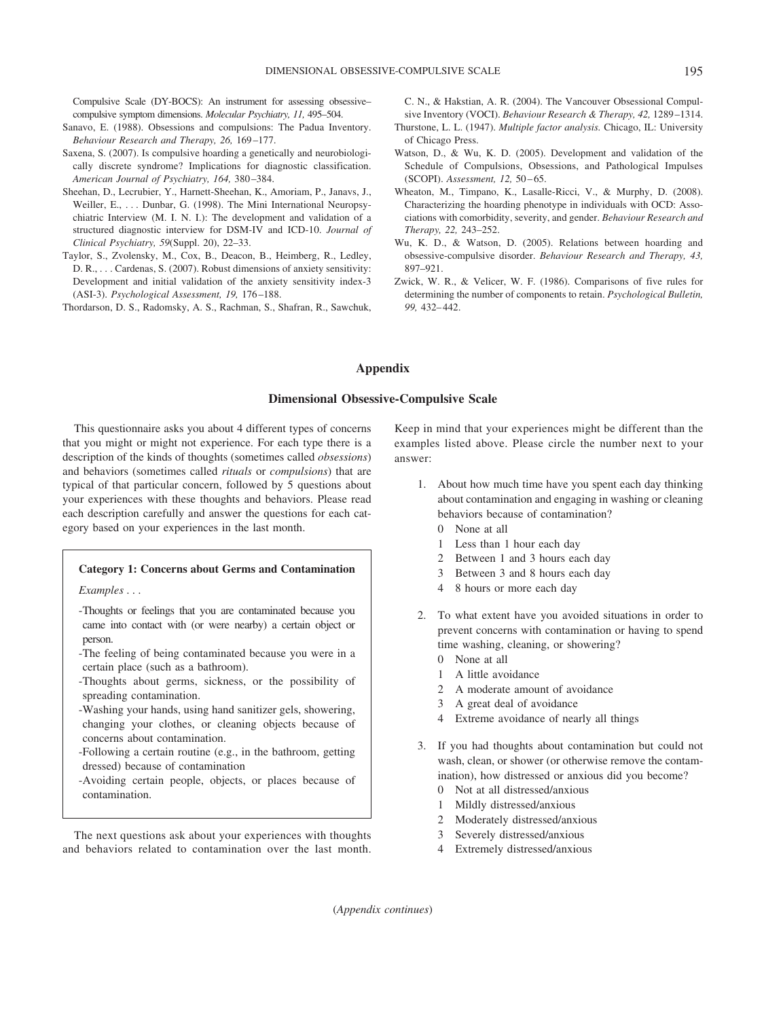Compulsive Scale (DY-BOCS): An instrument for assessing obsessive– compulsive symptom dimensions. *Molecular Psychiatry, 11,* 495–504.

- Sanavo, E. (1988). Obsessions and compulsions: The Padua Inventory. *Behaviour Research and Therapy, 26,* 169 –177.
- Saxena, S. (2007). Is compulsive hoarding a genetically and neurobiologically discrete syndrome? Implications for diagnostic classification. *American Journal of Psychiatry, 164,* 380 –384.
- Sheehan, D., Lecrubier, Y., Harnett-Sheehan, K., Amoriam, P., Janavs, J., Weiller, E., ... Dunbar, G. (1998). The Mini International Neuropsychiatric Interview (M. I. N. I.): The development and validation of a structured diagnostic interview for DSM-IV and ICD-10. *Journal of Clinical Psychiatry, 59*(Suppl. 20), 22–33.
- Taylor, S., Zvolensky, M., Cox, B., Deacon, B., Heimberg, R., Ledley, D. R., . . . Cardenas, S. (2007). Robust dimensions of anxiety sensitivity: Development and initial validation of the anxiety sensitivity index-3 (ASI-3). *Psychological Assessment, 19,* 176 –188.

Thordarson, D. S., Radomsky, A. S., Rachman, S., Shafran, R., Sawchuk,

C. N., & Hakstian, A. R. (2004). The Vancouver Obsessional Compulsive Inventory (VOCI). *Behaviour Research & Therapy, 42,* 1289 –1314.

- Thurstone, L. L. (1947). *Multiple factor analysis.* Chicago, IL: University of Chicago Press.
- Watson, D., & Wu, K. D. (2005). Development and validation of the Schedule of Compulsions, Obsessions, and Pathological Impulses (SCOPI). *Assessment, 12,* 50 – 65.
- Wheaton, M., Timpano, K., Lasalle-Ricci, V., & Murphy, D. (2008). Characterizing the hoarding phenotype in individuals with OCD: Associations with comorbidity, severity, and gender. *Behaviour Research and Therapy, 22,* 243–252.
- Wu, K. D., & Watson, D. (2005). Relations between hoarding and obsessive-compulsive disorder. *Behaviour Research and Therapy, 43,* 897–921.
- Zwick, W. R., & Velicer, W. F. (1986). Comparisons of five rules for determining the number of components to retain. *Psychological Bulletin, 99,* 432– 442.

# **Appendix**

# **Dimensional Obsessive-Compulsive Scale**

This questionnaire asks you about 4 different types of concerns that you might or might not experience. For each type there is a description of the kinds of thoughts (sometimes called *obsessions*) and behaviors (sometimes called *rituals* or *compulsions*) that are typical of that particular concern, followed by 5 questions about your experiences with these thoughts and behaviors. Please read each description carefully and answer the questions for each category based on your experiences in the last month.

#### **Category 1: Concerns about Germs and Contamination**

*Examples* ...

- -Thoughts or feelings that you are contaminated because you came into contact with (or were nearby) a certain object or person.
- -The feeling of being contaminated because you were in a certain place (such as a bathroom).
- -Thoughts about germs, sickness, or the possibility of spreading contamination.
- -Washing your hands, using hand sanitizer gels, showering, changing your clothes, or cleaning objects because of concerns about contamination.
- -Following a certain routine (e.g., in the bathroom, getting dressed) because of contamination
- -Avoiding certain people, objects, or places because of contamination.

The next questions ask about your experiences with thoughts and behaviors related to contamination over the last month. Keep in mind that your experiences might be different than the examples listed above. Please circle the number next to your answer:

- 1. About how much time have you spent each day thinking about contamination and engaging in washing or cleaning behaviors because of contamination?
	- 0 None at all
	- 1 Less than 1 hour each day
	- 2 Between 1 and 3 hours each day
	- 3 Between 3 and 8 hours each day
	- 4 8 hours or more each day
- 2. To what extent have you avoided situations in order to prevent concerns with contamination or having to spend time washing, cleaning, or showering?
	- 0 None at all
	- 1 A little avoidance
	- 2 A moderate amount of avoidance
	- 3 A great deal of avoidance
	- 4 Extreme avoidance of nearly all things
- 3. If you had thoughts about contamination but could not wash, clean, or shower (or otherwise remove the contamination), how distressed or anxious did you become?
	- 0 Not at all distressed/anxious
	- 1 Mildly distressed/anxious
	- 2 Moderately distressed/anxious
	- 3 Severely distressed/anxious
	- 4 Extremely distressed/anxious

(*Appendix continues*)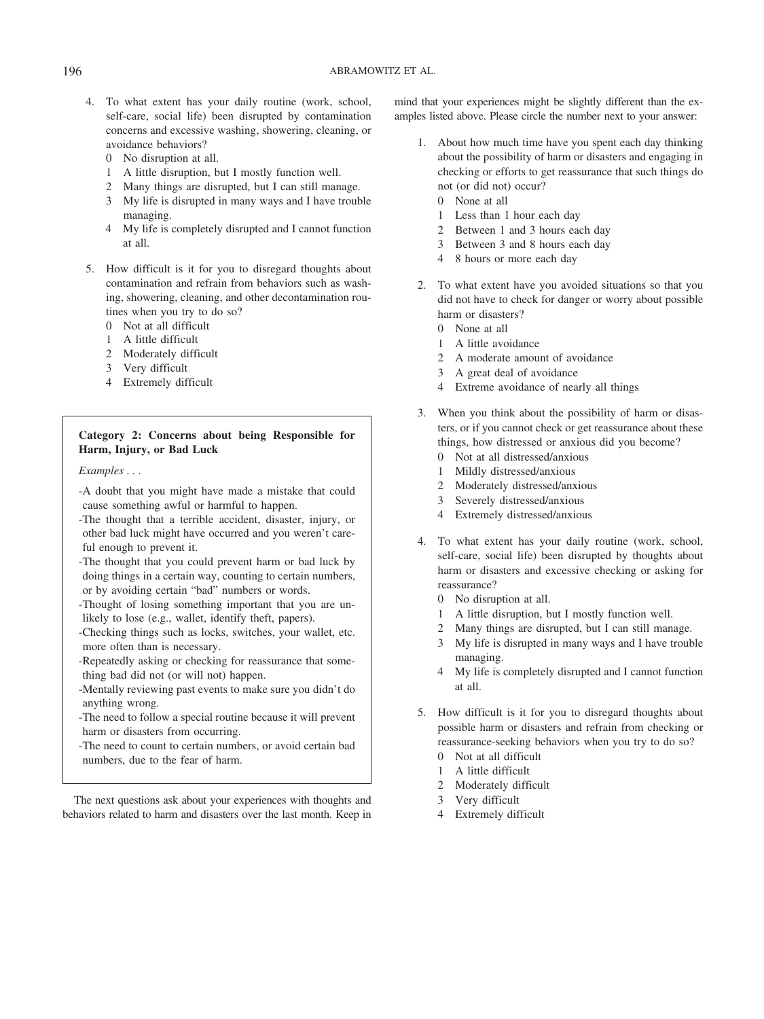- 4. To what extent has your daily routine (work, school, self-care, social life) been disrupted by contamination concerns and excessive washing, showering, cleaning, or avoidance behaviors?
	- 0 No disruption at all.
	- 1 A little disruption, but I mostly function well.
	- 2 Many things are disrupted, but I can still manage.
	- 3 My life is disrupted in many ways and I have trouble managing.
	- 4 My life is completely disrupted and I cannot function at all.
- 5. How difficult is it for you to disregard thoughts about contamination and refrain from behaviors such as washing, showering, cleaning, and other decontamination routines when you try to do so?
	- 0 Not at all difficult
	- 1 A little difficult
	- 2 Moderately difficult
	- 3 Very difficult
	- 4 Extremely difficult

# **Category 2: Concerns about being Responsible for Harm, Injury, or Bad Luck**

*Examples* ...

- -A doubt that you might have made a mistake that could cause something awful or harmful to happen.
- -The thought that a terrible accident, disaster, injury, or other bad luck might have occurred and you weren't careful enough to prevent it.
- -The thought that you could prevent harm or bad luck by doing things in a certain way, counting to certain numbers, or by avoiding certain "bad" numbers or words.
- -Thought of losing something important that you are unlikely to lose (e.g., wallet, identify theft, papers).
- -Checking things such as locks, switches, your wallet, etc. more often than is necessary.
- -Repeatedly asking or checking for reassurance that something bad did not (or will not) happen.
- -Mentally reviewing past events to make sure you didn't do anything wrong.
- -The need to follow a special routine because it will prevent harm or disasters from occurring.
- -The need to count to certain numbers, or avoid certain bad numbers, due to the fear of harm.

The next questions ask about your experiences with thoughts and behaviors related to harm and disasters over the last month. Keep in mind that your experiences might be slightly different than the examples listed above. Please circle the number next to your answer:

- 1. About how much time have you spent each day thinking about the possibility of harm or disasters and engaging in checking or efforts to get reassurance that such things do not (or did not) occur?
	- 0 None at all
	- 1 Less than 1 hour each day
	- 2 Between 1 and 3 hours each day
	- 3 Between 3 and 8 hours each day
	- 4 8 hours or more each day
- 2. To what extent have you avoided situations so that you did not have to check for danger or worry about possible harm or disasters?
	- 0 None at all
	- 1 A little avoidance
	- 2 A moderate amount of avoidance
	- 3 A great deal of avoidance
	- 4 Extreme avoidance of nearly all things
- 3. When you think about the possibility of harm or disasters, or if you cannot check or get reassurance about these things, how distressed or anxious did you become?
	- 0 Not at all distressed/anxious
	- 1 Mildly distressed/anxious
	- 2 Moderately distressed/anxious
	- 3 Severely distressed/anxious
	- 4 Extremely distressed/anxious
- 4. To what extent has your daily routine (work, school, self-care, social life) been disrupted by thoughts about harm or disasters and excessive checking or asking for reassurance?
	- 0 No disruption at all.
	- 1 A little disruption, but I mostly function well.
	- 2 Many things are disrupted, but I can still manage.
	- 3 My life is disrupted in many ways and I have trouble managing.
	- 4 My life is completely disrupted and I cannot function at all.
- 5. How difficult is it for you to disregard thoughts about possible harm or disasters and refrain from checking or reassurance-seeking behaviors when you try to do so?
	- 0 Not at all difficult
	- 1 A little difficult
	- 2 Moderately difficult
	- 3 Very difficult
	- 4 Extremely difficult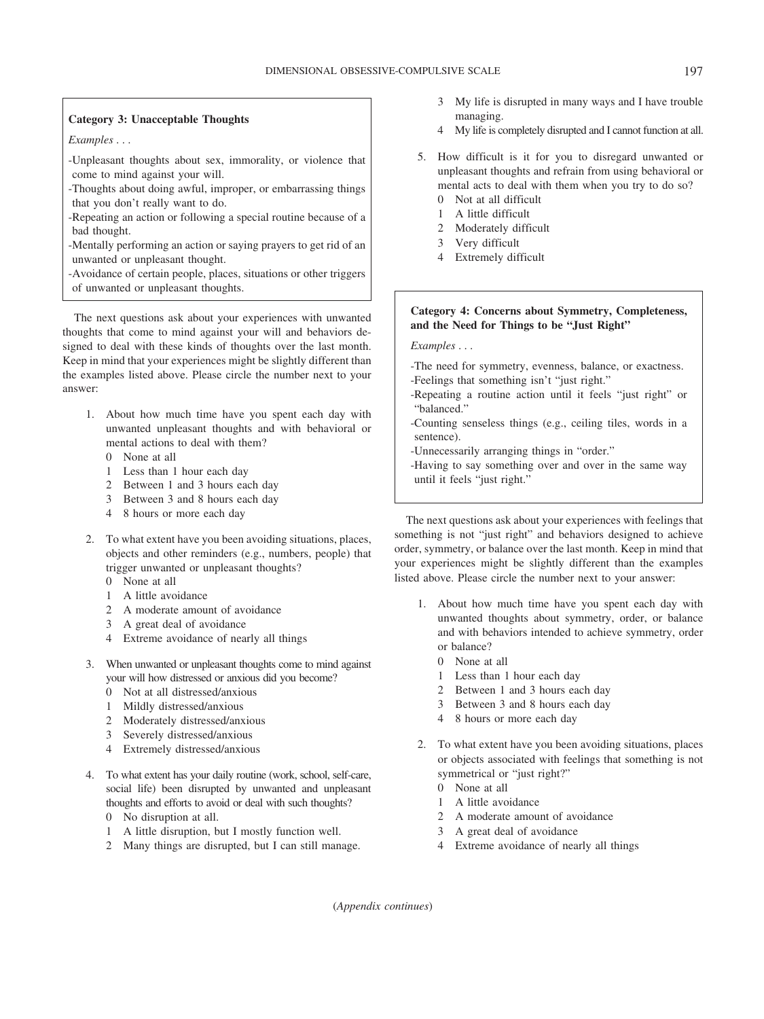# **Category 3: Unacceptable Thoughts**

*Examples* ...

- -Unpleasant thoughts about sex, immorality, or violence that come to mind against your will.
- -Thoughts about doing awful, improper, or embarrassing things that you don't really want to do.
- -Repeating an action or following a special routine because of a bad thought.
- -Mentally performing an action or saying prayers to get rid of an unwanted or unpleasant thought.
- -Avoidance of certain people, places, situations or other triggers of unwanted or unpleasant thoughts.

The next questions ask about your experiences with unwanted thoughts that come to mind against your will and behaviors designed to deal with these kinds of thoughts over the last month. Keep in mind that your experiences might be slightly different than the examples listed above. Please circle the number next to your answer:

- 1. About how much time have you spent each day with unwanted unpleasant thoughts and with behavioral or mental actions to deal with them?
	- 0 None at all
	- 1 Less than 1 hour each day
	- 2 Between 1 and 3 hours each day
	- 3 Between 3 and 8 hours each day
	- 4 8 hours or more each day
- 2. To what extent have you been avoiding situations, places, objects and other reminders (e.g., numbers, people) that trigger unwanted or unpleasant thoughts?
	- 0 None at all
	- 1 A little avoidance
	- 2 A moderate amount of avoidance
	- 3 A great deal of avoidance
	- 4 Extreme avoidance of nearly all things
- 3. When unwanted or unpleasant thoughts come to mind against your will how distressed or anxious did you become?
	- 0 Not at all distressed/anxious
	- 1 Mildly distressed/anxious
	- 2 Moderately distressed/anxious
	- 3 Severely distressed/anxious
	- 4 Extremely distressed/anxious
- 4. To what extent has your daily routine (work, school, self-care, social life) been disrupted by unwanted and unpleasant thoughts and efforts to avoid or deal with such thoughts?
	- 0 No disruption at all.
	- 1 A little disruption, but I mostly function well.
	- 2 Many things are disrupted, but I can still manage.
- 3 My life is disrupted in many ways and I have trouble managing.
- My life is completely disrupted and I cannot function at all.
- 5. How difficult is it for you to disregard unwanted or unpleasant thoughts and refrain from using behavioral or mental acts to deal with them when you try to do so?
	- 0 Not at all difficult
	- 1 A little difficult
	- 2 Moderately difficult
	- 3 Very difficult
	- 4 Extremely difficult

# **Category 4: Concerns about Symmetry, Completeness, and the Need for Things to be "Just Right"**

*Examples* ...

- -The need for symmetry, evenness, balance, or exactness. -Feelings that something isn't "just right."
- -Repeating a routine action until it feels "just right" or "balanced."
- -Counting senseless things (e.g., ceiling tiles, words in a sentence).
- -Unnecessarily arranging things in "order."
- -Having to say something over and over in the same way until it feels "just right."

The next questions ask about your experiences with feelings that something is not "just right" and behaviors designed to achieve order, symmetry, or balance over the last month. Keep in mind that your experiences might be slightly different than the examples listed above. Please circle the number next to your answer:

- 1. About how much time have you spent each day with unwanted thoughts about symmetry, order, or balance and with behaviors intended to achieve symmetry, order or balance?
	- 0 None at all
	- 1 Less than 1 hour each day
	- 2 Between 1 and 3 hours each day
	- 3 Between 3 and 8 hours each day
	- 4 8 hours or more each day
- 2. To what extent have you been avoiding situations, places or objects associated with feelings that something is not symmetrical or "just right?"
	- 0 None at all
	- 1 A little avoidance
	- 2 A moderate amount of avoidance
	- 3 A great deal of avoidance
	- 4 Extreme avoidance of nearly all things

(*Appendix continues*)